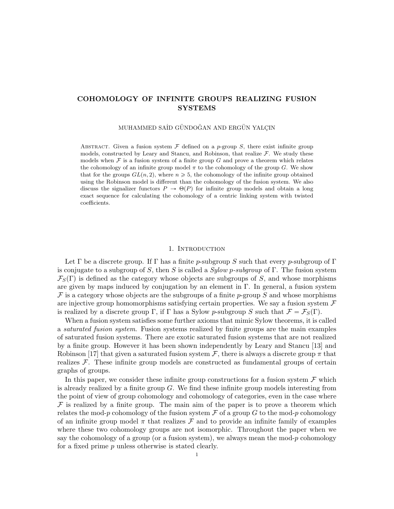# COHOMOLOGY OF INFINITE GROUPS REALIZING FUSION SYSTEMS

MUHAMMED SAİD GÜNDOĞAN AND ERGÜN YALÇIN

ABSTRACT. Given a fusion system  $\mathcal F$  defined on a p-group  $S$ , there exist infinite group models, constructed by Leary and Stancu, and Robinson, that realize  $\mathcal{F}$ . We study these models when  $\mathcal F$  is a fusion system of a finite group  $G$  and prove a theorem which relates the cohomology of an infinite group model  $\pi$  to the cohomology of the group G. We show that for the groups  $GL(n, 2)$ , where  $n \geq 5$ , the cohomology of the infinite group obtained using the Robinson model is different than the cohomology of the fusion system. We also discuss the signalizer functors  $P \to \Theta(P)$  for infinite group models and obtain a long exact sequence for calculating the cohomology of a centric linking system with twisted coefficients.

# 1. INTRODUCTION

Let  $\Gamma$  be a discrete group. If  $\Gamma$  has a finite p-subgroup S such that every p-subgroup of  $\Gamma$ is conjugate to a subgroup of S, then S is called a  $Sylow$  p-subgroup of  $\Gamma$ . The fusion system  $\mathcal{F}_S(\Gamma)$  is defined as the category whose objects are subgroups of S, and whose morphisms are given by maps induced by conjugation by an element in  $\Gamma$ . In general, a fusion system  $\mathcal F$  is a category whose objects are the subgroups of a finite p-group S and whose morphisms are injective group homomorphisms satisfying certain properties. We say a fusion system  $\mathcal F$ is realized by a discrete group  $\Gamma$ , if  $\Gamma$  has a Sylow p-subgroup S such that  $\mathcal{F} = \mathcal{F}_S(\Gamma)$ .

When a fusion system satisfies some further axioms that mimic Sylow theorems, it is called a saturated fusion system. Fusion systems realized by finite groups are the main examples of saturated fusion systems. There are exotic saturated fusion systems that are not realized by a finite group. However it has been shown independently by Leary and Stancu [13] and Robinson [17] that given a saturated fusion system  $\mathcal{F}$ , there is always a discrete group  $\pi$  that realizes  $\mathcal F$ . These infinite group models are constructed as fundamental groups of certain graphs of groups.

In this paper, we consider these infinite group constructions for a fusion system  $\mathcal F$  which is already realized by a finite group G. We find these infinite group models interesting from the point of view of group cohomology and cohomology of categories, even in the case where  $\mathcal F$  is realized by a finite group. The main aim of the paper is to prove a theorem which relates the mod-p cohomology of the fusion system  $\mathcal F$  of a group G to the mod-p cohomology of an infinite group model  $\pi$  that realizes  $\mathcal F$  and to provide an infinite family of examples where these two cohomology groups are not isomorphic. Throughout the paper when we say the cohomology of a group (or a fusion system), we always mean the mod- $p$  cohomology for a fixed prime p unless otherwise is stated clearly.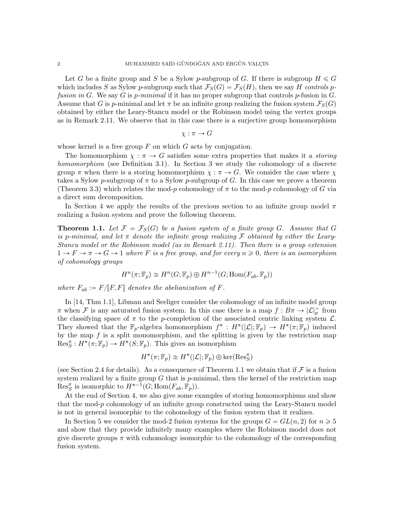Let G be a finite group and S be a Sylow p-subgroup of G. If there is subgroup  $H \leq G$ which includes S as Sylow p-subgroup such that  $\mathcal{F}_S(G) = \mathcal{F}_S(H)$ , then we say H controls pfusion in G. We say G is p-minimal if it has no proper subgroup that controls p-fusion in G. Assume that G is p-minimal and let  $\pi$  be an infinite group realizing the fusion system  $\mathcal{F}_S(G)$ obtained by either the Leary-Stancu model or the Robinson model using the vertex groups as in Remark 2.11. We observe that in this case there is a surjective group homomorphism

$$
\chi : \pi \to G
$$

whose kernel is a free group  $F$  on which  $G$  acts by conjugation.

The homomorphism  $\chi : \pi \to G$  satisfies some extra properties that makes it a *storing* homomorphism (see Definition 3.1). In Section 3 we study the cohomology of a discrete group  $\pi$  when there is a storing homomorphism  $\chi : \pi \to G$ . We consider the case where  $\chi$ takes a Sylow p-subgroup of  $\pi$  to a Sylow p-subgroup of G. In this case we prove a theorem (Theorem 3.3) which relates the mod-p cohomology of  $\pi$  to the mod-p cohomology of G via a direct sum decomposition.

In Section 4 we apply the results of the previous section to an infinite group model  $\pi$ realizing a fusion system and prove the following theorem.

**Theorem 1.1.** Let  $\mathcal{F} = \mathcal{F}_S(G)$  be a fusion system of a finite group G. Assume that G is p-minimal, and let  $\pi$  denote the infinite group realizing  $\mathcal F$  obtained by either the Leary-Stancu model or the Robinson model (as in Remark 2.11). Then there is a group extension  $1 \to F \to \pi \to G \to 1$  where F is a free group, and for every  $n \geq 0$ , there is an isomorphism of cohomology groups

$$
H^{n}(\pi; \mathbb{F}_{p}) \cong H^{n}(G; \mathbb{F}_{p}) \oplus H^{n-1}(G; \text{Hom}(F_{ab}, \mathbb{F}_{p}))
$$

where  $F_{ab} := F/[F, F]$  denotes the abelianization of F.

In [14, Thm 1.1], Libman and Seeliger consider the cohomology of an infinite model group  $\pi$  when  $\mathcal F$  is any saturated fusion system. In this case there is a map  $f: B\pi \to |\mathcal L|_p^{\wedge}$  from the classifying space of  $\pi$  to the p-completion of the associated centric linking system  $\mathcal{L}$ . They showed that the  $\mathbb{F}_p$ -algebra homomorphism  $f^*: H^*(\mathcal{L}]; \mathbb{F}_p) \to H^*(\pi; \mathbb{F}_p)$  induced by the map  $f$  is a split monomorphism, and the splitting is given by the restriction map  $\operatorname{Res}_{S}^{\pi}: H^{*}(\pi; \mathbb{F}_{p}) \to H^{*}(S; \mathbb{F}_{p}).$  This gives an isomorphism

$$
H^*(\pi; \mathbb{F}_p) \cong H^*(|\mathcal{L}|; \mathbb{F}_p) \oplus \ker(\mathrm{Res}_S^{\pi})
$$

(see Section 2.4 for details). As a consequence of Theorem 1.1 we obtain that if  $\mathcal F$  is a fusion system realized by a finite group  $G$  that is  $p$ -minimal, then the kernel of the restriction map  $\text{Res}_{S}^{\pi}$  is isomorphic to  $H^{*-1}(G; \text{Hom}(F_{ab}, \overline{\mathbb{F}}_p)).$ 

At the end of Section 4, we also give some examples of storing homomorphisms and show that the mod-p cohomology of an infinite group constructed using the Leary-Stancu model is not in general isomorphic to the cohomology of the fusion system that it realizes.

In Section 5 we consider the mod-2 fusion systems for the groups  $G = GL(n, 2)$  for  $n \geq 5$ and show that they provide infinitely many examples where the Robinson model does not give discrete groups  $\pi$  with cohomology isomorphic to the cohomology of the corresponding fusion system.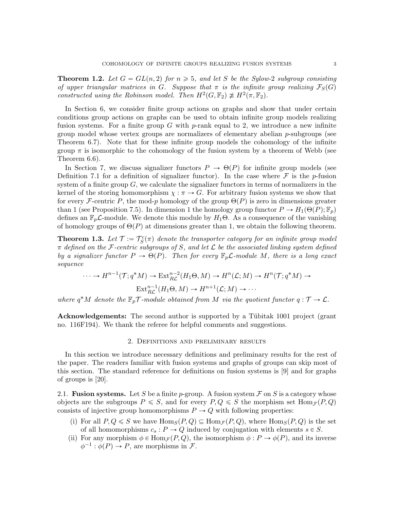**Theorem 1.2.** Let  $G = GL(n, 2)$  for  $n \geq 5$ , and let S be the Sylow-2 subgroup consisting of upper triangular matrices in G. Suppose that  $\pi$  is the infinite group realizing  $\mathcal{F}_S(G)$ constructed using the Robinson model. Then  $H^2(G, \mathbb{F}_2) \not\cong H^2(\pi, \mathbb{F}_2)$ .

In Section 6, we consider finite group actions on graphs and show that under certain conditions group actions on graphs can be used to obtain infinite group models realizing fusion systems. For a finite group G with  $p$ -rank equal to 2, we introduce a new infinite group model whose vertex groups are normalizers of elementary abelian  $p$ -subgroups (see Theorem 6.7). Note that for these infinite group models the cohomology of the infinite group  $\pi$  is isomorphic to the cohomology of the fusion system by a theorem of Webb (see Theorem 6.6).

In Section 7, we discuss signalizer functors  $P \to \Theta(P)$  for infinite group models (see Definition 7.1 for a definition of signalizer functor). In the case where  $\mathcal F$  is the p-fusion system of a finite group  $G$ , we calculate the signalizer functors in terms of normalizers in the kernel of the storing homomorphism  $\chi : \pi \to G$ . For arbitrary fusion systems we show that for every F-centric P, the mod-p homology of the group  $\Theta(P)$  is zero in dimensions greater than 1 (see Proposition 7.5). In dimension 1 the homology group functor  $P \to H_1(\Theta(P); \mathbb{F}_p)$ defines an  $\mathbb{F}_p\mathcal{L}$ -module. We denote this module by  $H_1\Theta$ . As a consequence of the vanishing of homology groups of  $\Theta(P)$  at dimensions greater than 1, we obtain the following theorem.

**Theorem 1.3.** Let  $\mathcal{T} := \mathcal{T}_S^c(\pi)$  denote the transporter category for an infinite group model  $\pi$  defined on the F-centric subgroups of S, and let  $\mathcal L$  be the associated linking system defined by a signalizer functor  $P \to \Theta(P)$ . Then for every  $\mathbb{F}_p \mathcal{L}$ -module M, there is a long exact sequence

$$
\cdots \to H^{n-1}(\mathcal{T}; q^*M) \to \text{Ext}_{R\mathcal{L}}^{n-2}(H_1\Theta, M) \to H^n(\mathcal{L}; M) \to H^n(\mathcal{T}; q^*M) \to
$$

$$
\text{Ext}_{R\mathcal{L}}^{n-1}(H_1\Theta, M) \to H^{n+1}(\mathcal{L}; M) \to \cdots
$$

where  $q^*M$  denote the  $\mathbb{F}_p\mathcal{T}$ -module obtained from M via the quotient functor  $q: \mathcal{T} \to \mathcal{L}$ .

Acknowledgements: The second author is supported by a Tübitak 1001 project (grant no. 116F194). We thank the referee for helpful comments and suggestions.

## 2. Definitions and preliminary results

In this section we introduce necessary definitions and preliminary results for the rest of the paper. The readers familiar with fusion systems and graphs of groups can skip most of this section. The standard reference for definitions on fusion systems is [9] and for graphs of groups is [20].

2.1. **Fusion systems.** Let S be a finite p-group. A fusion system  $\mathcal F$  on S is a category whose objects are the subgroups  $P \leq S$ , and for every  $P, Q \leq S$  the morphism set  $\text{Hom}_{\mathcal{F}}(P, Q)$ consists of injective group homomorphisms  $P \to Q$  with following properties:

- (i) For all  $P, Q \leq S$  we have  $\text{Hom}_S(P, Q) \subseteq \text{Hom}_{\mathcal{F}}(P, Q)$ , where  $\text{Hom}_S(P, Q)$  is the set of all homomorphisms  $c_s : P \to Q$  induced by conjugation with elements  $s \in S$ .
- (ii) For any morphism  $\phi \in \text{Hom}_{\mathcal{F}}(P, Q)$ , the isomorphism  $\phi : P \to \phi(P)$ , and its inverse  $\phi^{-1} : \phi(P) \to P$ , are morphisms in F.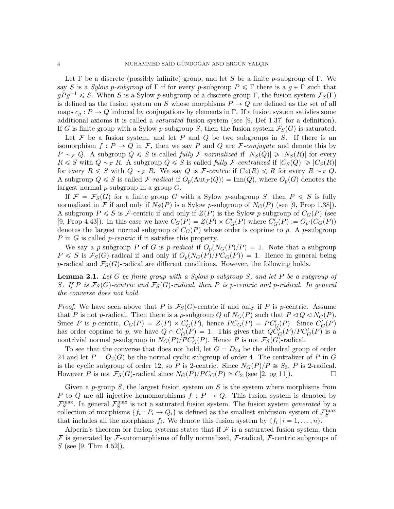Let  $\Gamma$  be a discrete (possibly infinite) group, and let S be a finite p-subgroup of  $\Gamma$ . We say S is a Sylow p-subgroup of Γ if for every p-subgroup  $P \leqslant \Gamma$  there is a  $q \in \Gamma$  such that  $gPg^{-1} \leq S$ . When S is a Sylow p-subgroup of a discrete group Γ, the fusion system  $\mathcal{F}_S(\Gamma)$ is defined as the fusion system on S whose morphisms  $P \to Q$  are defined as the set of all maps  $c_q : P \to Q$  induced by conjugations by elements in Γ. If a fusion system satisfies some additional axioms it is called a *saturated* fusion system (see [9, Def 1.37] for a definition). If G is finite group with a Sylow p-subgroup S, then the fusion system  $\mathcal{F}_{S}(G)$  is saturated.

Let  $F$  be a fusion system, and let  $P$  and  $Q$  be two subgroups in  $S$ . If there is an isomorphism  $f: P \to Q$  in F, then we say P and Q are F-conjugate and denote this by  $P \sim_{\mathcal{F}} Q$ . A subgroup  $Q \leqslant S$  is called fully F-normalized if  $|N_S(Q)| \geqslant |N_S(R)|$  for every  $R \leq S$  with  $Q \sim_{\mathcal{F}} R$ . A subgroup  $Q \leq S$  is called fully F-centralized if  $|C_S(Q)| \geq |C_S(R)|$ for every  $R \leq S$  with  $Q \sim_{\mathcal{F}} R$ . We say Q is *F*-centric if  $C_S(R) \leq R$  for every  $R \sim_{\mathcal{F}} Q$ . A subgroup  $Q \leq S$  is called F-radical if  $O_p(\text{Aut}_{\mathcal{F}}(Q)) = \text{Inn}(Q)$ , where  $O_p(G)$  denotes the largest normal  $p$ -subgroup in a group  $G$ .

If  $\mathcal{F} = \mathcal{F}_S(G)$  for a finite group G with a Sylow p-subgroup S, then  $P \leq S$  is fully normalized in F if and only if  $N_S(P)$  is a Sylow p-subgroup of  $N_G(P)$  (see [9, Prop 1.38]). A subgroup  $P \leq S$  is F-centric if and only if  $Z(P)$  is the Sylow p-subgroup of  $C_G(P)$  (see [9, Prop 4.43]). In this case we have  $C_G(P) = Z(P) \times C_G'(P)$  where  $C_G'(P) := O_{p'}(C_G(P))$ denotes the largest normal subgroup of  $C_G(P)$  whose order is coprime to p. A p-subgroup P in G is called *p*-centric if it satisfies this property.

We say a p-subgroup P of G is p-radical if  $O_p(N_G(P)/P) = 1$ . Note that a subgroup  $P \leq S$  is  $\mathcal{F}_{S}(G)$ -radical if and only if  $O_p(N_G(P)/PC_G(P)) = 1$ . Hence in general being p-radical and  $\mathcal{F}_S(G)$ -radical are different conditions. However, the following holds.

Lemma 2.1. Let G be finite group with a Sylow p-subgroup S, and let P be a subgroup of S. If P is  $\mathcal{F}_S(G)$ -centric and  $\mathcal{F}_S(G)$ -radical, then P is p-centric and p-radical. In general the converse does not hold.

*Proof.* We have seen above that P is  $\mathcal{F}_S(G)$ -centric if and only if P is p-centric. Assume that P is not p-radical. Then there is a p-subgroup Q of  $N_G(P)$  such that  $P \triangleleft Q \triangleleft N_G(P)$ . Since P is p-centric,  $C_G(P) = Z(P) \times C'_G(P)$ , hence  $PC_G(P) = PC'_G(P)$ . Since  $C'_G(P)$ has order coprime to p, we have  $Q \cap C'_G(P) = 1$ . This gives that  $Q C'_G(P) / P C'_G(P)$  is a nontrivial normal p-subgroup in  $N_G(P)/PC_G'(P)$ . Hence P is not  $\mathcal{F}_S(G)$ -radical.

To see that the converse that does not hold, let  $G = D_{24}$  be the dihedral group of order 24 and let  $P = O_2(G)$  be the normal cyclic subgroup of order 4. The centralizer of P in G is the cyclic subgroup of order 12, so P is 2-centric. Since  $N<sub>G</sub>(P)/P \cong S<sub>3</sub>$ , P is 2-radical. However P is not  $\mathcal{F}_{S}(G)$ -radical since  $N_{G}(P)/PC_{G}(P) \cong C_2$  (see [2, pg 11]).

Given a p-group  $S$ , the largest fusion system on  $S$  is the system where morphisms from P to Q are all injective homomorphisms  $f : P \to Q$ . This fusion system is denoted by  $\mathcal{F}_S^{\text{max}}$ . In general  $\mathcal{F}_S^{\text{max}}$  is not a saturated fusion system. The fusion system *generated* by a collection of morphisms  $\{f_i: P_i \to Q_i\}$  is defined as the smallest subfusion system of  $\mathcal{F}_S^{\max}$ that includes all the morphisms  $f_i$ . We denote this fusion system by  $\langle f_i | i = 1, \ldots, n \rangle$ .

Alperin's theorem for fusion systems states that if  $\mathcal F$  is a saturated fusion system, then  $\mathcal F$  is generated by  $\mathcal F$ -automorphisms of fully normalized,  $\mathcal F$ -radical,  $\mathcal F$ -centric subgroups of S (see [9, Thm 4.52]).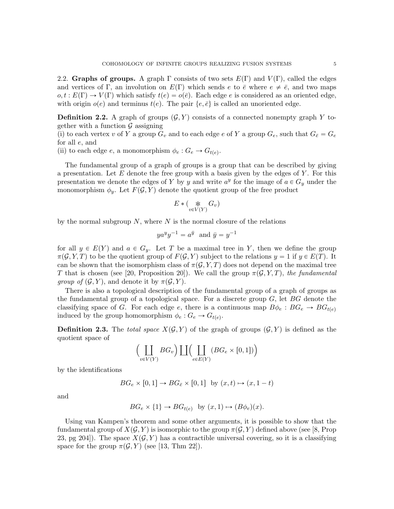2.2. Graphs of groups. A graph  $\Gamma$  consists of two sets  $E(\Gamma)$  and  $V(\Gamma)$ , called the edges and vertices of Γ, an involution on  $E(\Gamma)$  which sends e to  $\bar{e}$  where  $e \neq \bar{e}$ , and two maps  $o, t : E(\Gamma) \to V(\Gamma)$  which satisfy  $t(e) = o(\overline{e})$ . Each edge e is considered as an oriented edge, with origin  $o(e)$  and terminus  $t(e)$ . The pair  $\{e, \bar{e}\}\$ is called an unoriented edge.

**Definition 2.2.** A graph of groups  $(G, Y)$  consists of a connected nonempty graph Y together with a function  $\mathcal G$  assigning

(i) to each vertex v of Y a group  $G_v$  and to each edge e of Y a group  $G_e$ , such that  $G_{\bar{e}} = G_e$ for all e, and

(ii) to each edge  $e$ , a monomorphism  $\phi_e : G_e \to G_{t(e)}$ .

The fundamental group of a graph of groups is a group that can be described by giving a presentation. Let  $E$  denote the free group with a basis given by the edges of  $Y$ . For this presentation we denote the edges of Y by y and write  $a^y$  for the image of  $a \in G_y$  under the monomorphism  $\phi_y$ . Let  $F(\mathcal{G}, Y)$  denote the quotient group of the free product

$$
E*(\mathop{\ast}_{v\in V(Y)} G_v)
$$

by the normal subgroup  $N$ , where  $N$  is the normal closure of the relations

$$
ya^y y^{-1} = a^{\bar{y}} \text{ and } \bar{y} = y^{-1}
$$

for all  $y \in E(Y)$  and  $a \in G_y$ . Let T be a maximal tree in Y, then we define the group  $\pi(\mathcal{G}, Y, T)$  to be the quotient group of  $F(\mathcal{G}, Y)$  subject to the relations  $y = 1$  if  $y \in E(T)$ . It can be shown that the isomorphism class of  $\pi(G, Y, T)$  does not depend on the maximal tree T that is chosen (see [20, Proposition 20]). We call the group  $\pi(\mathcal{G}, Y, T)$ , the fundamental *group of*  $(\mathcal{G}, Y)$ , and denote it by  $\pi(\mathcal{G}, Y)$ .

There is also a topological description of the fundamental group of a graph of groups as the fundamental group of a topological space. For a discrete group  $G$ , let  $BG$  denote the classifying space of G. For each edge e, there is a continuous map  $B\phi_e : BG_e \to BG_{t(e)}$ induced by the group homomorphism  $\phi_e : G_e \to G_{t(e)}$ .

**Definition 2.3.** The total space  $X(\mathcal{G}, Y)$  of the graph of groups  $(\mathcal{G}, Y)$  is defined as the quotient space of  $\overline{z}$  $\sum_{i=1}^{n}$ 

$$
\left(\coprod_{v \in V(Y)} BG_v\right) \coprod \left(\coprod_{e \in E(Y)} (BG_e \times [0,1])\right)
$$

by the identifications

$$
BG_e \times [0,1] \to BG_{\bar{e}} \times [0,1] \text{ by } (x,t) \mapsto (x, 1-t)
$$

and

$$
BG_e \times \{1\} \to BG_{t(e)} \text{ by } (x,1) \mapsto (B\phi_e)(x).
$$

Using van Kampen's theorem and some other arguments, it is possible to show that the fundamental group of  $X(\mathcal{G}, Y)$  is isomorphic to the group  $\pi(\mathcal{G}, Y)$  defined above (see [8, Prop 23, pg 204). The space  $X(\mathcal{G}, Y)$  has a contractible universal covering, so it is a classifying space for the group  $\pi(\mathcal{G}, Y)$  (see [13, Thm 22]).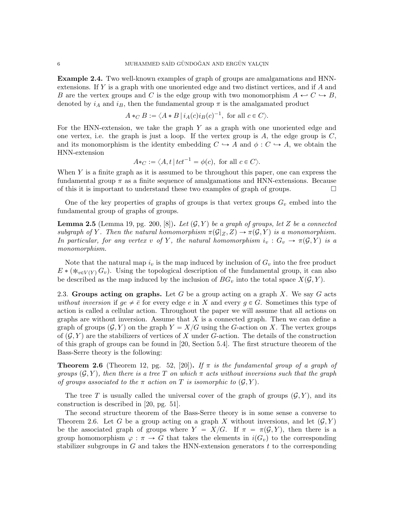Example 2.4. Two well-known examples of graph of groups are amalgamations and HNNextensions. If Y is a graph with one unoriented edge and two distinct vertices, and if A and B are the vertex groups and C is the edge group with two monomorphism  $A \leftrightarrow C \leftrightarrow B$ , denoted by  $i_A$  and  $i_B$ , then the fundamental group  $\pi$  is the amalgamated product

$$
A *_{C} B := \langle A * B | i_{A}(c) i_{B}(c)^{-1}, \text{ for all } c \in C \rangle.
$$

For the HNN-extension, we take the graph  $Y$  as a graph with one unoriented edge and one vertex, i.e. the graph is just a loop. If the vertex group is  $A$ , the edge group is  $C$ , and its monomorphism is the identity embedding  $C \hookrightarrow A$  and  $\phi : C \hookrightarrow A$ , we obtain the HNN-extension

$$
A *_{C} := \langle A, t | tct^{-1} = \phi(c), \text{ for all } c \in C \rangle.
$$

When  $Y$  is a finite graph as it is assumed to be throughout this paper, one can express the fundamental group  $\pi$  as a finite sequence of amalgamations and HNN-extensions. Because of this it is important to understand these two examples of graph of groups.  $\Box$ 

One of the key properties of graphs of groups is that vertex groups  $G_v$  embed into the fundamental group of graphs of groups.

**Lemma 2.5** (Lemma 19, pg. 200, [8]). Let  $(G, Y)$  be a graph of groups, let Z be a connected subgraph of Y. Then the natural homomorphism  $\pi(\mathcal{G}|Z, Z) \to \pi(\mathcal{G}, Y)$  is a monomorphism. In particular, for any vertex v of Y, the natural homomorphism  $i_v : G_v \to \pi(\mathcal{G}, Y)$  is a monomorphism.

Note that the natural map  $i_v$  is the map induced by inclusion of  $G_v$  into the free product  $E * (\ast_{v \in V(Y)} G_v)$ . Using the topological description of the fundamental group, it can also be described as the map induced by the inclusion of  $BG_v$  into the total space  $X(\mathcal{G}, Y)$ .

2.3. Groups acting on graphs. Let G be a group acting on a graph X. We say G acts without inversion if  $ge \neq \overline{e}$  for every edge e in X and every  $g \in G$ . Sometimes this type of action is called a cellular action. Throughout the paper we will assume that all actions on graphs are without inversion. Assume that  $X$  is a connected graph. Then we can define a graph of groups  $(G, Y)$  on the graph  $Y = X/G$  using the G-action on X. The vertex groups of  $(\mathcal{G}, Y)$  are the stabilizers of vertices of X under G-action. The details of the construction of this graph of groups can be found in [20, Section 5.4]. The first structure theorem of the Bass-Serre theory is the following:

**Theorem 2.6** (Theorem 12, pg. 52, [20]). If  $\pi$  is the fundamental group of a graph of groups  $(\mathcal{G}, Y)$ , then there is a tree T on which  $\pi$  acts without inversions such that the graph of groups associated to the  $\pi$  action on T is isomorphic to  $(\mathcal{G}, Y)$ .

The tree T is usually called the universal cover of the graph of groups  $(G, Y)$ , and its construction is described in [20, pg. 51].

The second structure theorem of the Bass-Serre theory is in some sense a converse to Theorem 2.6. Let G be a group acting on a graph X without inversions, and let  $(G, Y)$ be the associated graph of groups where  $Y = X/G$ . If  $\pi = \pi(\mathcal{G}, Y)$ , then there is a group homomorphism  $\varphi : \pi \to G$  that takes the elements in  $i(G_v)$  to the corresponding stabilizer subgroups in  $G$  and takes the HNN-extension generators  $t$  to the corresponding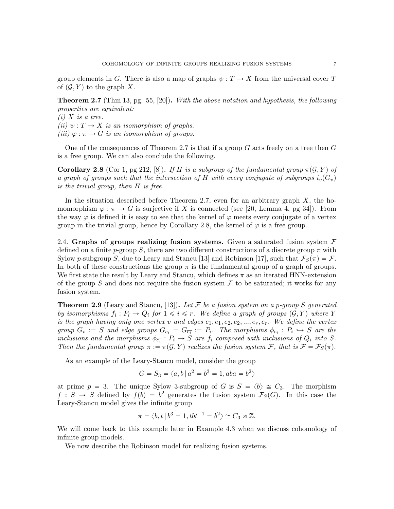group elements in G. There is also a map of graphs  $\psi: T \to X$  from the universal cover T of  $(\mathcal{G}, Y)$  to the graph X.

Theorem 2.7 (Thm 13, pg. 55, [20]). With the above notation and hypothesis, the following properties are equivalent:

 $(i)$  X is a tree. (ii)  $\psi: T \to X$  is an isomorphism of graphs. (iii)  $\varphi : \pi \to G$  is an isomorphism of groups.

One of the consequences of Theorem 2.7 is that if a group  $G$  acts freely on a tree then  $G$ is a free group. We can also conclude the following.

**Corollary 2.8** (Cor 1, pg 212, [8]). If H is a subgroup of the fundamental group  $\pi(G, Y)$  of a graph of groups such that the intersection of H with every conjugate of subgroups  $i_v(G_v)$ is the trivial group, then H is free.

In the situation described before Theorem 2.7, even for an arbitrary graph  $X$ , the homomorphism  $\varphi : \pi \to G$  is surjective if X is connected (see [20, Lemma 4, pg 34]). From the way  $\varphi$  is defined it is easy to see that the kernel of  $\varphi$  meets every conjugate of a vertex group in the trivial group, hence by Corollary 2.8, the kernel of  $\varphi$  is a free group.

2.4. Graphs of groups realizing fusion systems. Given a saturated fusion system  $\mathcal F$ defined on a finite p-group S, there are two different constructions of a discrete group  $\pi$  with Sylow p-subgroup S, due to Leary and Stancu [13] and Robinson [17], such that  $\mathcal{F}_{S}(\pi) = \mathcal{F}$ . In both of these constructions the group  $\pi$  is the fundamental group of a graph of groups. We first state the result by Leary and Stancu, which defines  $\pi$  as an iterated HNN-extension of the group S and does not require the fusion system  $\mathcal F$  to be saturated; it works for any fusion system.

**Theorem 2.9** (Leary and Stancu, [13]). Let F be a fusion system on a p-group S generated by isomorphisms  $f_i : P_i \to Q_i$  for  $1 \leq i \leq r$ . We define a graph of groups  $(G, Y)$  where Y is the graph having only one vertex v and edges  $e_1, \overline{e_1}, e_2, \overline{e_2}, ..., e_r, \overline{e_r}$ . We define the vertex group  $G_v := S$  and edge groups  $G_{e_i} = G_{\overline{e_i}} := P_i$ . The morphisms  $\phi_{e_i} : P_i \hookrightarrow S$  are the inclusions and the morphisms  $\phi_{\overline{e_i}}: P_i \to S$  are  $f_i$  composed with inclusions of  $Q_i$  into S. Then the fundamental group  $\pi := \pi(\mathcal{G}, Y)$  realizes the fusion system F, that is  $\mathcal{F} = \mathcal{F}_S(\pi)$ .

As an example of the Leary-Stancu model, consider the group

$$
G=S_3=\langle a,b\,|\,a^2=b^3=1,aba=b^2\rangle
$$

at prime  $p = 3$ . The unique Sylow 3-subgroup of G is  $S = \langle b \rangle \cong C_3$ . The morphism  $f : S \to S$  defined by  $f(b) = b^2$  generates the fusion system  $\mathcal{F}_S(G)$ . In this case the Leary-Stancu model gives the infinite group

$$
\pi = \langle b, t \, | \, b^3 = 1, tbt^{-1} = b^2 \rangle \cong C_3 \rtimes \mathbb{Z}.
$$

We will come back to this example later in Example 4.3 when we discuss cohomology of infinite group models.

We now describe the Robinson model for realizing fusion systems.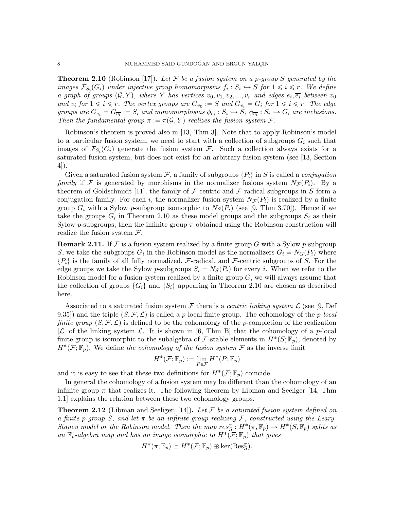**Theorem 2.10** (Robinson [17]). Let F be a fusion system on a p-group S generated by the images  $\mathcal{F}_{S_i}(G_i)$  under injective group homomorpisms  $f_i: S_i \hookrightarrow S$  for  $1 \leq i \leq r$ . We define a graph of groups  $(G, Y)$ , where Y has vertices  $v_0, v_1, v_2, ..., v_r$  and edges  $e_i, \overline{e_i}$  between  $v_0$ and  $v_i$  for  $1 \leq i \leq r$ . The vertex groups are  $G_{v_0} := S$  and  $G_{v_i} = G_i$  for  $1 \leq i \leq r$ . The edge groups are  $G_{e_i} = G_{\overline{e_i}} := S_i$  and monomorphisms  $\phi_{e_i} : S_i \hookrightarrow S$ ,  $\phi_{\overline{e_i}} : S_i \hookrightarrow G_i$  are inclusions. Then the fundamental group  $\pi := \pi(\mathcal{G}, Y)$  realizes the fusion system  $\mathcal{F}$ .

Robinson's theorem is proved also in [13, Thm 3]. Note that to apply Robinson's model to a particular fusion system, we need to start with a collection of subgroups  $G_i$  such that images of  $\mathcal{F}_{S_i}(G_i)$  generate the fusion system  $\mathcal{F}$ . Such a collection always exists for a saturated fusion system, but does not exist for an arbitrary fusion system (see [13, Section 4]).

Given a saturated fusion system F, a family of subgroups  $\{P_i\}$  in S is called a *conjugation* family if F is generated by morphisms in the normalizer fusions system  $N_{\mathcal{F}}(P_i)$ . By a theorem of Goldschmidt [11], the family of  $\mathcal F$ -centric and  $\mathcal F$ -radical subgroups in S form a conjugation family. For each i, the normalizer fusion system  $N_{\mathcal{F}}(P_i)$  is realized by a finite group  $G_i$  with a Sylow p-subgroup isomorphic to  $N_S(P_i)$  (see [9, Thm 3.70]). Hence if we take the groups  $G_i$  in Theorem 2.10 as these model groups and the subgroups  $S_i$  as their Sylow p-subgroups, then the infinite group  $\pi$  obtained using the Robinson construction will realize the fusion system  $\mathcal{F}.$ 

**Remark 2.11.** If F is a fusion system realized by a finite group G with a Sylow p-subgroup S, we take the subgroups  $G_i$  in the Robinson model as the normalizers  $G_i = N_G(P_i)$  where  $\{P_i\}$  is the family of all fully normalized, F-radical, and F-centric subgroups of S. For the edge groups we take the Sylow p-subgroups  $S_i = N_S(P_i)$  for every i. When we refer to the Robinson model for a fusion system realized by a finite group  $G$ , we will always assume that the collection of groups  $\{G_i\}$  and  $\{S_i\}$  appearing in Theorem 2.10 are chosen as described here.

Associated to a saturated fusion system  $\mathcal F$  there is a *centric linking system*  $\mathcal L$  (see [9, Def 9.35]) and the triple  $(S, \mathcal{F}, \mathcal{L})$  is called a p-local finite group. The cohomology of the p-local finite group  $(S, \mathcal{F}, \mathcal{L})$  is defined to be the cohomology of the p-completion of the realization  $|\mathcal{L}|$  of the linking system  $\mathcal{L}$ . It is shown in [6, Thm B] that the cohomology of a p-local finite group is isomorphic to the subalgebra of F-stable elements in  $H^*(S; \mathbb{F}_p)$ , denoted by  $H^*(\mathcal{F}; \mathbb{F}_p)$ . We define the cohomology of the fusion system  $\mathcal F$  as the inverse limit

$$
H^*(\mathcal{F}; \mathbb{F}_p) := \lim_{P \in \mathcal{F}} H^*(P; \mathbb{F}_p)
$$

and it is easy to see that these two definitions for  $H^*(\mathcal{F};\mathbb{F}_p)$  coincide.

In general the cohomology of a fusion system may be different than the cohomology of an infinite group  $\pi$  that realizes it. The following theorem by Libman and Seeliger [14, Thm 1.1] explains the relation between these two cohomology groups.

**Theorem 2.12** (Libman and Seeliger, [14]). Let F be a saturated fusion system defined on a finite p-group S, and let  $\pi$  be an infinite group realizing F, constructed using the Leary-Stancu model or the Robinson model. Then the map  $res^{\pi}_{S}: H^{*}(\pi,\mathbb{F}_{p}) \to H^{*}(S,\mathbb{F}_{p})$  splits as an  $\mathbb{F}_p$ -algebra map and has an image isomorphic to  $H^*(\mathcal{F};\mathbb{F}_p)$  that gives

$$
H^*(\pi; \mathbb{F}_p) \cong H^*(\mathcal{F}; \mathbb{F}_p) \oplus \ker(\text{Res}_S^{\pi}).
$$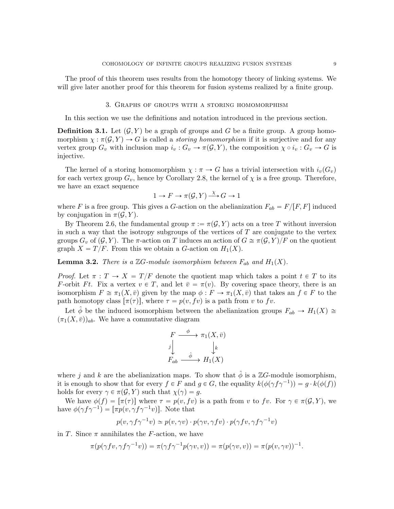The proof of this theorem uses results from the homotopy theory of linking systems. We will give later another proof for this theorem for fusion systems realized by a finite group.

### 3. Graphs of groups with a storing homomorphism

In this section we use the definitions and notation introduced in the previous section.

**Definition 3.1.** Let  $(G, Y)$  be a graph of groups and G be a finite group. A group homomorphism  $\chi : \pi(\mathcal{G}, Y) \to G$  is called a storing homomorphism if it is surjective and for any vertex group  $G_v$  with inclusion map  $i_v : G_v \to \pi(\mathcal{G}, Y)$ , the composition  $\chi \circ i_v : G_v \to G$  is injective.

The kernel of a storing homomorphism  $\chi : \pi \to G$  has a trivial intersection with  $i_v(G_v)$ for each vertex group  $G_v$ , hence by Corollary 2.8, the kernel of  $\chi$  is a free group. Therefore, we have an exact sequence

$$
1 \to F \to \pi(\mathcal{G}, Y) \xrightarrow{\chi} G \to 1
$$

where F is a free group. This gives a G-action on the abelianization  $F_{ab} = F/[F, F]$  induced by conjugation in  $\pi(\mathcal{G}, Y)$ .

By Theorem 2.6, the fundamental group  $\pi := \pi(G, Y)$  acts on a tree T without inversion in such a way that the isotropy subgroups of the vertices of  $T$  are conjugate to the vertex groups  $G_v$  of  $(\mathcal{G}, Y)$ . The  $\pi$ -action on T induces an action of  $G \cong \pi(\mathcal{G}, Y)/F$  on the quotient graph  $X = T/F$ . From this we obtain a G-action on  $H_1(X)$ .

**Lemma 3.2.** There is a  $\mathbb{Z}G$ -module isomorphism between  $F_{ab}$  and  $H_1(X)$ .

*Proof.* Let  $\pi : T \to X = T/F$  denote the quotient map which takes a point  $t \in T$  to its F-orbit Ft. Fix a vertex  $v \in T$ , and let  $\overline{v} = \pi(v)$ . By covering space theory, there is an isomorphism  $F \cong \pi_1(X, \bar{v})$  given by the map  $\phi : F \to \pi_1(X, \bar{v})$  that takes an  $f \in F$  to the path homotopy class  $[\pi(\tau)]$ , where  $\tau = p(v, fv)$  is a path from v to fv.

Let  $\phi$  be the induced isomorphism between the abelianization groups  $F_{ab} \to H_1(X) \cong$  $(\pi_1(X, \bar{v}))_{ab}$ . We have a commutative diagram

$$
F \xrightarrow{\phi} \pi_1(X, \bar{v})
$$
  

$$
f \downarrow \qquad \qquad \downarrow k
$$
  

$$
F_{ab} \xrightarrow{\hat{\phi}} H_1(X)
$$

where j and k are the abelianization maps. To show that  $\hat{\phi}$  is a ZG-module isomorphism, it is enough to show that for every  $f \in F$  and  $g \in G$ , the equality  $k(\phi(\gamma f \gamma^{-1})) = g \cdot k(\phi(f))$ holds for every  $\gamma \in \pi(\mathcal{G}, Y)$  such that  $\chi(\gamma) = g$ .

We have  $\phi(f) = [\pi(\tau)]$  where  $\tau = p(v, fv)$  is a path from v to fv. For  $\gamma \in \pi(\mathcal{G}, Y)$ , we have  $\phi(\gamma f \gamma^{-1}) = [\pi p(v, \gamma f \gamma^{-1} v)].$  Note that

$$
p(v, \gamma f \gamma^{-1} v) \simeq p(v, \gamma v) \cdot p(\gamma v, \gamma f v) \cdot p(\gamma f v, \gamma f \gamma^{-1} v)
$$

in T. Since  $\pi$  annihilates the F-action, we have

$$
\pi(p(\gamma fv, \gamma f \gamma^{-1} v)) = \pi(\gamma f \gamma^{-1} p(\gamma v, v)) = \pi(p(\gamma v, v)) = \pi(p(v, \gamma v))^{-1}.
$$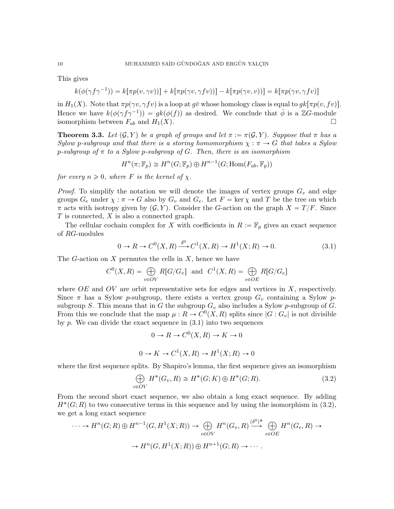This gives

$$
k(\phi(\gamma f \gamma^{-1})) = k[\pi p(v, \gamma v))] + k[\pi p(\gamma v, \gamma f v))] - k[\pi p(\gamma v, v))] = k[\pi p(\gamma v, \gamma f v)]
$$

in  $H_1(X)$ . Note that  $\pi p(\gamma v, \gamma f v)$  is a loop at  $g\bar{v}$  whose homology class is equal to  $g\bar{k}[\pi p(v, f v)]$ . Hence we have  $k(\phi(\gamma f \gamma^{-1})) = g k(\phi(f))$  as desired. We conclude that  $\hat{\phi}$  is a ZG-module isomorphism between  $F_{ab}$  and  $H_1(X)$ .

**Theorem 3.3.** Let  $(G, Y)$  be a graph of groups and let  $\pi := \pi(G, Y)$ . Suppose that  $\pi$  has a Sylow p-subgroup and that there is a storing homomorphism  $\chi : \pi \to G$  that takes a Sylow p-subgroup of  $\pi$  to a Sylow p-subgroup of G. Then, there is an isomorphism

$$
H^{n}(\pi; \mathbb{F}_{p}) \cong H^{n}(G; \mathbb{F}_{p}) \oplus H^{n-1}(G; \text{Hom}(F_{ab}, \mathbb{F}_{p}))
$$

for every  $n \geq 0$ , where F is the kernel of  $\chi$ .

*Proof.* To simplify the notation we will denote the images of vertex groups  $G_v$  and edge groups  $G_e$  under  $\chi : \pi \to G$  also by  $G_v$  and  $G_e$ . Let  $F = \text{ker } \chi$  and T be the tree on which  $\pi$  acts with isotropy given by  $(\mathcal{G}, Y)$ . Consider the G-action on the graph  $X = T/F$ . Since  $T$  is connected,  $X$  is also a connected graph.

The cellular cochain complex for X with coefficients in  $R := \mathbb{F}_p$  gives an exact sequence of RG-modules

$$
0 \to R \to C^{0}(X,R) \xrightarrow{\delta^{0}} C^{1}(X,R) \to H^{1}(X;R) \to 0.
$$
\n(3.1)

The G-action on  $X$  permutes the cells in  $X$ , hence we have

$$
C^{0}(X,R) = \bigoplus_{v \in OV} R[G/G_v] \text{ and } C^{1}(X,R) = \bigoplus_{e \in OE} R[G/G_e]
$$

where  $OE$  and  $OV$  are orbit representative sets for edges and vertices in X, respectively. Since  $\pi$  has a Sylow p-subgroup, there exists a vertex group  $G_v$  containing a Sylow psubgroup S. This means that in G the subgroup  $G_v$  also includes a Sylow p-subgroup of G. From this we conclude that the map  $\mu : R \to C^{0}(X, R)$  splits since  $|G : G_{v}|$  is not divisible by  $p$ . We can divide the exact sequence in  $(3.1)$  into two sequences

$$
0 \to R \to C^0(X, R) \to K \to 0
$$
  

$$
0 \to K \to C^1(X, R) \to H^1(X; R) \to 0
$$

where the first sequence splits. By Shapiro's lemma, the first sequence gives an isomorphism

$$
\bigoplus_{v \in OV} H^*(G_v, R) \cong H^*(G; K) \oplus H^*(G; R). \tag{3.2}
$$

From the second short exact sequence, we also obtain a long exact sequence. By adding  $H^*(G;R)$  to two consecutive terms in this sequence and by using the isomorphism in (3.2), we get a long exact sequence

$$
\cdots \to H^n(G;R) \oplus H^{n-1}(G,H^1(X;R)) \to \bigoplus_{v \in OV} H^n(G_v,R) \xrightarrow{\delta^0)^*} \bigoplus_{e \in OE} H^n(G_e,R) \to
$$
  

$$
\to H^n(G,H^1(X;R)) \oplus H^{n+1}(G;R) \to \cdots.
$$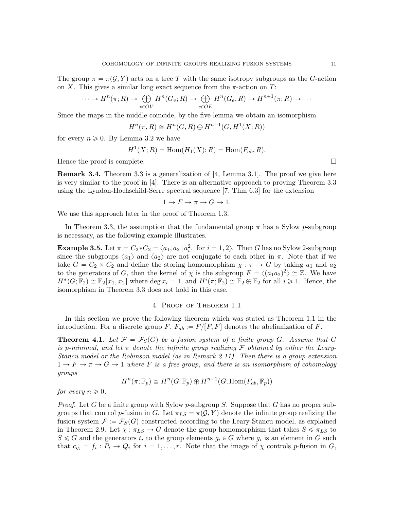The group  $\pi = \pi(\mathcal{G}, Y)$  acts on a tree T with the same isotropy subgroups as the G-action

on X. This gives a similar long exact sequence from the 
$$
\pi
$$
-action on T:  
\n
$$
\cdots \to H^n(\pi; R) \to \bigoplus_{v \in OV} H^n(G_v; R) \to \bigoplus_{e \in OE} H^n(G_e, R) \to H^{n+1}(\pi; R) \to \cdots
$$

Since the maps in the middle coincide, by the five-lemma we obtain an isomorphism

$$
H^n(\pi, R) \cong H^n(G, R) \oplus H^{n-1}(G, H^1(X; R))
$$

for every  $n \geq 0$ . By Lemma 3.2 we have

$$
H1(X; R) = Hom(H1(X); R) = Hom(Fab, R).
$$

Hence the proof is complete.  $\Box$ 

Remark 3.4. Theorem 3.3 is a generalization of [4, Lemma 3.1]. The proof we give here is very similar to the proof in [4]. There is an alternative approach to proving Theorem 3.3 using the Lyndon-Hochschild-Serre spectral sequence [7, Thm 6.3] for the extension

$$
1 \to F \to \pi \to G \to 1.
$$

We use this approach later in the proof of Theorem 1.3.

In Theorem 3.3, the assumption that the fundamental group  $\pi$  has a Sylow p-subgroup is necessary, as the following example illustrates.

**Example 3.5.** Let  $\pi = C_2 * C_2 = \langle a_1, a_2 | a_i^2, \text{ for } i = 1, 2 \rangle$ . Then G has no Sylow 2-subgroup since the subgroups  $\langle a_1 \rangle$  and  $\langle a_2 \rangle$  are not conjugate to each other in  $\pi$ . Note that if we take  $G = C_2 \times C_2$  and define the storing homomorphism  $\chi : \pi \to G$  by taking  $a_1$  and  $a_2$ to the generators of G, then the kernel of  $\chi$  is the subgroup  $F = \langle (a_1 a_2)^2 \rangle \cong \mathbb{Z}$ . We have  $H^*(G; \mathbb{F}_2) \cong \mathbb{F}_2[x_1, x_2]$  where  $\deg x_i = 1$ , and  $H^i(\pi; \mathbb{F}_2) \cong \mathbb{F}_2 \oplus \mathbb{F}_2$  for all  $i \geq 1$ . Hence, the isomorphism in Theorem 3.3 does not hold in this case.

#### 4. Proof of Theorem 1.1

In this section we prove the following theorem which was stated as Theorem 1.1 in the introduction. For a discrete group F,  $F_{ab} := F/[F, F]$  denotes the abelianization of F.

**Theorem 4.1.** Let  $\mathcal{F} = \mathcal{F}_S(G)$  be a fusion system of a finite group G. Assume that G is p-minimal, and let  $\pi$  denote the infinite group realizing F obtained by either the Leary-Stancu model or the Robinson model (as in Remark 2.11). Then there is a group extension  $1 \to F \to \pi \to G \to 1$  where F is a free group, and there is an isomorphism of cohomology groups

$$
H^{n}(\pi; \mathbb{F}_{p}) \cong H^{n}(G; \mathbb{F}_{p}) \oplus H^{n-1}(G; \text{Hom}(F_{ab}, \mathbb{F}_{p}))
$$

for every  $n \geqslant 0$ .

*Proof.* Let G be a finite group with Sylow p-subgroup S. Suppose that G has no proper subgroups that control p-fusion in G. Let  $\pi_{LS} = \pi(\mathcal{G}, Y)$  denote the infinite group realizing the fusion system  $\mathcal{F} := \mathcal{F}_S(G)$  constructed according to the Leary-Stancu model, as explained in Theorem 2.9. Let  $\chi : \pi_{LS} \to G$  denote the group homomorphism that takes  $S \leq \pi_{LS}$  to  $S \le G$  and the generators  $t_i$  to the group elements  $g_i \in G$  where  $g_i$  is an element in G such that  $c_{g_i} = f_i : P_i \to Q_i$  for  $i = 1, ..., r$ . Note that the image of  $\chi$  controls p-fusion in G,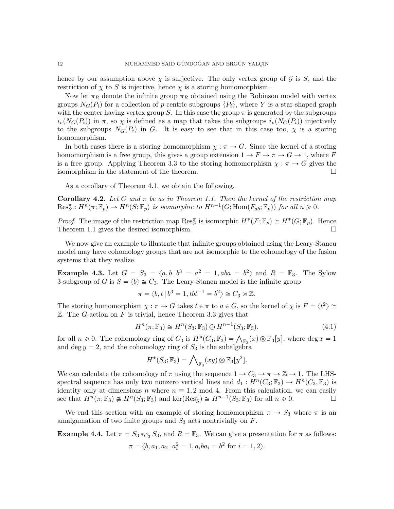hence by our assumption above  $\chi$  is surjective. The only vertex group of  $\mathcal G$  is S, and the restriction of  $\chi$  to S is injective, hence  $\chi$  is a storing homomorphism.

Now let  $\pi_R$  denote the infinite group  $\pi_R$  obtained using the Robinson model with vertex groups  $N_G(P_i)$  for a collection of p-centric subgroups  $\{P_i\}$ , where Y is a star-shaped graph with the center having vertex group S. In this case the group  $\pi$  is generated by the subgroups  $i_v(N_G(P_i))$  in  $\pi$ , so  $\chi$  is defined as a map that takes the subgroups  $i_v(N_G(P_i))$  injectively to the subgroups  $N_G(P_i)$  in G. It is easy to see that in this case too,  $\chi$  is a storing homomorphism.

In both cases there is a storing homomorphism  $\chi : \pi \to G$ . Since the kernel of a storing homomorphism is a free group, this gives a group extension  $1 \to F \to \pi \to G \to 1$ , where F is a free group. Applying Theorem 3.3 to the storing homomorphism  $\chi : \pi \to G$  gives the isomorphism in the statement of the theorem.

As a corollary of Theorem 4.1, we obtain the following.

**Corollary 4.2.** Let G and  $\pi$  be as in Theorem 1.1. Then the kernel of the restriction map  $\text{Res}_{S}^{\pi}: H^{n}(\pi; \mathbb{F}_{p}) \to H^{n}(S; \mathbb{F}_{p})$  is isomorphic to  $H^{n-1}(G; \text{Hom}(F_{ab}; \mathbb{F}_{p}))$  for all  $n \geq 0$ .

*Proof.* The image of the restriction map  $\text{Res}_{S}^{\pi}$  is isomorphic  $H^{*}(\mathcal{F}; \mathbb{F}_{p}) \cong H^{*}(G; \mathbb{F}_{p})$ . Hence Theorem 1.1 gives the desired isomorphism.

We now give an example to illustrate that infinite groups obtained using the Leary-Stancu model may have cohomology groups that are not isomorphic to the cohomology of the fusion systems that they realize.

**Example 4.3.** Let  $G = S_3 = \langle a, b | b^3 = a^2 = 1, aba = b^2 \rangle$  and  $R = \mathbb{F}_3$ . The Sylow 3-subgroup of G is  $S = \langle b \rangle \cong C_3$ . The Leary-Stancu model is the infinite group

$$
\pi = \langle b, t | b^3 = 1, tbt^{-1} = b^2 \rangle \cong C_3 \rtimes \mathbb{Z}.
$$

The storing homomorphism  $\chi : \pi \to G$  takes  $t \in \pi$  to  $a \in G$ , so the kernel of  $\chi$  is  $F = \langle t^2 \rangle \cong$  $\mathbb Z$ . The G-action on F is trivial, hence Theorem 3.3 gives that

$$
Hn(\pi; \mathbb{F}_3) \cong Hn(S_3; \mathbb{F}_3) \oplus Hn-1(S_3; \mathbb{F}_3).
$$
\n(4.1)

for all  $n \ge 0$ . The cohomology ring of  $C_3$  is  $H^*(C_3; \mathbb{F}_3) = \bigwedge_{\mathbb{F}_3}(x) \otimes \mathbb{F}_3[y]$ , where deg  $x = 1$ and deg  $y = 2$ , and the cohomology ring of  $S_3$  is the subalgebra<br>  $H^*(S_3; \mathbb{F}_3) = \bigwedge_{\mathbb{F}} (xy) \otimes \mathbb{F}_3[y^2].$ 

$$
H^*(S_3; \mathbb{F}_3) = \bigwedge_{\mathbb{F}_3}(xy) \otimes \mathbb{F}_3[y^2].
$$

We can calculate the cohomology of  $\pi$  using the sequence  $1 \to C_3 \to \pi \to \mathbb{Z} \to 1$ . The LHSspectral sequence has only two nonzero vertical lines and  $d_1: H^n(C_3; \mathbb{F}_3) \to H^n(C_3, \mathbb{F}_3)$  is identity only at dimensions n where  $n \equiv 1, 2 \mod 4$ . From this calculation, we can easily see that  $H^n(\pi; \mathbb{F}_3) \not\cong H^n(S_3; \mathbb{F}_3)$  and ker $(\text{Res}^{\pi}_S) \cong H^{n-1}(S_3; \mathbb{F}_3)$  for all  $n \geq 0$ .

We end this section with an example of storing homomorphism  $\pi \to S_3$  where  $\pi$  is an amalgamation of two finite groups and  $S_3$  acts nontrivially on  $F$ .

**Example 4.4.** Let  $\pi = S_3 *_{C_3} S_3$ , and  $R = \mathbb{F}_3$ . We can give a presentation for  $\pi$  as follows:  $\pi = \langle b, a_1, a_2 | a_i^2 = 1, a_i b a_i = b^2 \text{ for } i = 1, 2 \rangle.$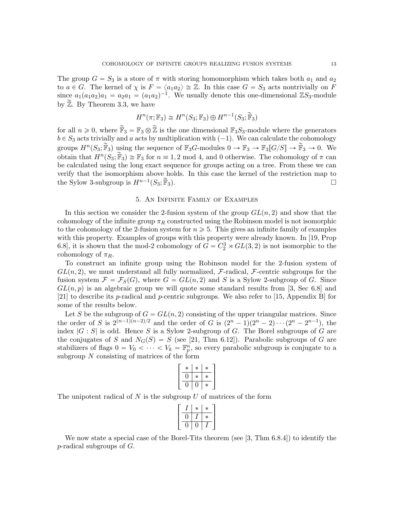The group  $G = S_3$  is a store of  $\pi$  with storing homomorphism which takes both  $a_1$  and  $a_2$ to  $a \in G$ . The kernel of  $\chi$  is  $F = \langle a_1 a_2 \rangle \cong \mathbb{Z}$ . In this case  $G = S_3$  acts nontrivially on F since  $a_1(a_1a_2)a_1 = a_2a_1 = (a_1a_2)^{-1}$ . We usually denote this one-dimensional  $\mathbb{Z}S_3$ -module by  $\mathbb{Z}$ . By Theorem 3.3, we have

$$
H^n(\pi; \mathbb{F}_3) \cong H^n(S_3; \mathbb{F}_3) \oplus H^{n-1}(S_3; \widetilde{\mathbb{F}}_3)
$$

for all  $n \geq 0$ , where  $\tilde{\mathbb{F}}_3 = \mathbb{F}_3 \otimes \tilde{\mathbb{Z}}$  is the one dimensional  $\mathbb{F}_3S_3$ -module where the generators  $b \in S_3$  acts trivially and a acts by multiplication with  $(-1)$ . We can calculate the cohomology groups  $H^n(S_3; \widetilde{\mathbb{F}}_3)$  using the sequence of  $\mathbb{F}_3G$ -modules  $0 \to \mathbb{F}_3 \to \mathbb{F}_3[G/S] \to \widetilde{\mathbb{F}}_3 \to 0$ . We obtain that  $H^n(S_3; \widetilde{\mathbb{F}}_3) \cong \mathbb{F}_3$  for  $n \equiv 1, 2 \mod 4$ , and 0 otherwise. The cohomology of  $\pi$  can be calculated using the long exact sequence for groups acting on a tree. From these we can verify that the isomorphism above holds. In this case the kernel of the restriction map to the Sylow 3-subgroup is  $H^{n-1}(S_3; \widetilde{\mathbb{F}}_3)$ .  $(S_3; \widetilde{\mathbb{F}}_3).$ 

# 5. An Infinite Family of Examples

In this section we consider the 2-fusion system of the group  $GL(n, 2)$  and show that the cohomology of the infinite group  $\pi_R$  constructed using the Robinson model is not isomorphic to the cohomology of the 2-fusion system for  $n \geq 5$ . This gives an infinite family of examples with this property. Examples of groups with this property were already known. In [19, Prop 6.8], it is shown that the mod-2 cohomology of  $G = C_2^3 \rtimes GL(3, 2)$  is not isomorphic to the cohomology of  $\pi_R$ .

To construct an infinite group using the Robinson model for the 2-fusion system of  $GL(n, 2)$ , we must understand all fully normalized, F-radical, F-centric subgroups for the fusion system  $\mathcal{F} = \mathcal{F}_S(G)$ , where  $G = GL(n, 2)$  and S is a Sylow 2-subgroup of G. Since  $GL(n, p)$  is an algebraic group we will quote some standard results from [3, Sec 6.8] and [21] to describe its p-radical and p-centric subgroups. We also refer to [15, Appendix B] for some of the results below.

Let S be the subgroup of  $G = GL(n, 2)$  consisting of the upper triangular matrices. Since the order of S is  $2^{(n-1)(n-2)/2}$  and the order of G is  $(2^{n} - 1)(2^{n} - 2) \cdots (2^{n} - 2^{n-1})$ , the index  $|G : S|$  is odd. Hence S is a Sylow 2-subgroup of G. The Borel subgroups of G are the conjugates of S and  $N_G(S) = S$  (see [21, Thm 6.12]). Parabolic subgroups of G are stabilizers of flags  $0 = V_0 < \cdots < V_k = \mathbb{F}_p^n$ , so every parabolic subgroup is conjugate to a subgroup  $N$  consisting of matrices of the form fi

$$
\left[\begin{array}{c|c} * & * & * \\ \hline 0 & * & * \\ \hline 0 & 0 & * \end{array}\right]
$$

The unipotent radical of  $N$  is the subgroup  $U$  of matrices of the form

|  | * | * |  |
|--|---|---|--|
|  |   | ∗ |  |
|  |   |   |  |

We now state a special case of the Borel-Tits theorem (see [3, Thm 6.8.4]) to identify the p-radical subgroups of G.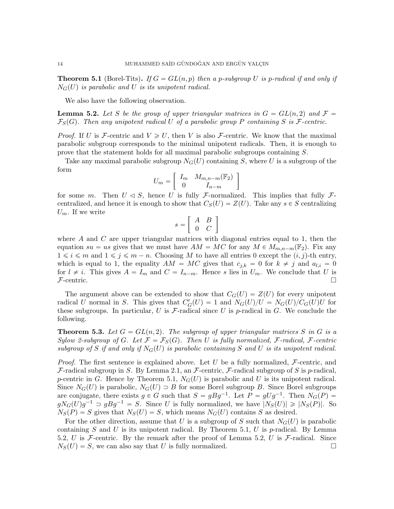**Theorem 5.1** (Borel-Tits). If  $G = GL(n, p)$  then a p-subgroup U is p-radical if and only if  $N_G(U)$  is parabolic and U is its unipotent radical.

We also have the following observation.

**Lemma 5.2.** Let S be the group of upper triangular matrices in  $G = GL(n, 2)$  and  $\mathcal{F} =$  $\mathcal{F}_S(G)$ . Then any unipotent radical U of a parabolic group P containing S is F-centric.

*Proof.* If U is F-centric and  $V \ge U$ , then V is also F-centric. We know that the maximal parabolic subgroup corresponds to the minimal unipotent radicals. Then, it is enough to prove that the statement holds for all maximal parabolic subgroups containing S.

Take any maximal parabolic subgroup  $N_G(U)$  containing S, where U is a subgroup of the form .<br>...  $\overline{a}$ 

$$
U_m = \left[ \begin{array}{cc} I_m & M_{m,n-m}(\mathbb{F}_2) \\ 0 & I_{n-m} \end{array} \right]
$$

for some m. Then  $U \triangleleft S$ , hence U is fully F-normalized. This implies that fully Fcentralized, and hence it is enough to show that  $C_S(U) = Z(U)$ . Take any  $s \in S$  centralizing  $U_m$ . If we write "  $\overline{a}$ 

$$
s = \left[ \begin{array}{cc} A & B \\ 0 & C \end{array} \right]
$$

where A and C are upper triangular matrices with diagonal entries equal to 1, then the equation  $su = us$  gives that we must have  $AM = MC$  for any  $M \in M_{m,n-m}(\mathbb{F}_2)$ . Fix any  $1 \leq i \leq m$  and  $1 \leq j \leq m - n$ . Choosing M to have all entries 0 except the  $(i, j)$ -th entry, which is equal to 1, the equality  $AM = MC$  gives that  $c_{j,k} = 0$  for  $k \neq j$  and  $a_{l,i} = 0$ for  $l \neq i$ . This gives  $A = I_m$  and  $C = I_{n-m}$ . Hence s lies in  $U_m$ . We conclude that U is  $\mathcal{F}\text{-centric.}$ 

The argument above can be extended to show that  $C_G(U) = Z(U)$  for every unipotent radical U normal in S. This gives that  $C'_G(U) = 1$  and  $N_G(U)/U = N_G(U)/C_G(U)U$  for these subgroups. In particular, U is  $\mathcal F$ -radical since U is p-radical in G. We conclude the following.

**Theorem 5.3.** Let  $G = GL(n, 2)$ . The subgroup of upper triangular matrices S in G is a Sylow 2-subgroup of G. Let  $\mathcal{F} = \mathcal{F}_S(G)$ . Then U is fully normalized, F-radical, F-centric subgroup of S if and only if  $N_G(U)$  is parabolic containing S and U is its unipotent radical.

*Proof.* The first sentence is explained above. Let U be a fully normalized,  $\mathcal{F}\text{-centric}$ , and F-radical subgroup in S. By Lemma 2.1, an F-centric, F-radical subgroup of S is p-radical, p-centric in G. Hence by Theorem 5.1,  $N_G(U)$  is parabolic and U is its unipotent radical. Since  $N_G(U)$  is parabolic,  $N_G(U) \supset B$  for some Borel subgroup B. Since Borel subgroups are conjugate, there exists  $g \in G$  such that  $S = gBg^{-1}$ . Let  $P = gUg^{-1}$ . Then  $N_G(P)$  $gN_G(U)g^{-1} \supset gBg^{-1} = S$ . Since U is fully normalized, we have  $|N_S(U)| \geq |N_S(P)|$ . So  $N_S(P) = S$  gives that  $N_S(U) = S$ , which means  $N_G(U)$  contains S as desired.

For the other direction, assume that U is a subgroup of S such that  $N_G(U)$  is parabolic containing S and U is its unipotent radical. By Theorem 5.1, U is p-radical. By Lemma 5.2, U is F-centric. By the remark after the proof of Lemma 5.2, U is F-radical. Since  $N_S(U) = S$ , we can also say that U is fully normalized.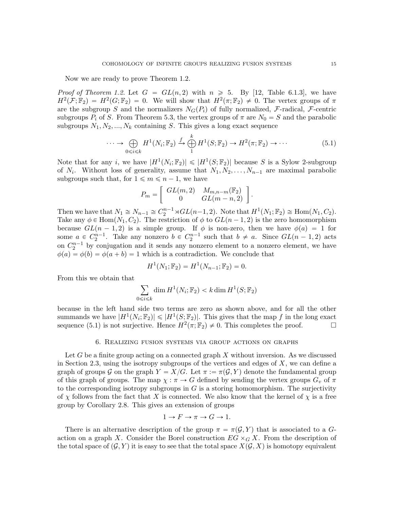Now we are ready to prove Theorem 1.2.

*Proof of Theorem 1.2.* Let  $G = GL(n, 2)$  with  $n \ge 5$ . By [12, Table 6.1.3], we have  $H^2(\mathcal{F};\mathbb{F}_2) = H^2(G;\mathbb{F}_2) = 0$ . We will show that  $H^2(\pi;\mathbb{F}_2) \neq 0$ . The vertex groups of  $\pi$ are the subgroup S and the normalizers  $N_G(P_i)$  of fully normalized, F-radical, F-centric subgroups  $P_i$  of S. From Theorem 5.3, the vertex groups of  $\pi$  are  $N_0 = S$  and the parabolic subgroups  $N_1, N_2, ..., N_k$  containing S. This gives a long exact sequence

$$
\cdots \to \bigoplus_{0 \leq i \leq k} H^1(N_i; \mathbb{F}_2) \xrightarrow{f} \bigoplus_{1}^k H^1(S; \mathbb{F}_2) \to H^2(\pi; \mathbb{F}_2) \to \cdots
$$
\n(5.1)

Note that for any *i*, we have  $|H^1(N_i; \mathbb{F}_2)| \leq |H^1(S; \mathbb{F}_2)|$  because S is a Sylow 2-subgroup of  $N_i$ . Without loss of generality, assume that  $N_1, N_2, \ldots, N_{n-1}$  are maximal parabolic subgroups such that, for  $1 \leq m \leq n - 1$ , we have  $\overline{a}$ 

$$
P_m = \left[ \begin{array}{cc} GL(m,2) & M_{m,n-m}(\mathbb{F}_2) \\ 0 & GL(m-n,2) \end{array} \right].
$$

Then we have that  $N_1 \cong N_{n-1} \cong C_2^{n-1} \rtimes GL(n-1,2)$ . Note that  $H^1(N_1; \mathbb{F}_2) \cong Hom(N_1, C_2)$ . Take any  $\phi \in \text{Hom}(N_1, C_2)$ . The restriction of  $\phi$  to  $GL(n - 1, 2)$  is the zero homomorphism because  $GL(n - 1, 2)$  is a simple group. If  $\phi$  is non-zero, then we have  $\phi(a) = 1$  for some  $a \in C_2^{n-1}$ . Take any nonzero  $b \in C_2^{n-1}$  such that  $b \neq a$ . Since  $GL(n-1, 2)$  acts on  $C_2^{n-1}$  by conjugation and it sends any nonzero element to a nonzero element, we have  $\phi(a) = \phi(b) = \phi(a + b) = 1$  which is a contradiction. We conclude that

$$
H^{1}(N_{1};\mathbb{F}_{2})=H^{1}(N_{n-1};\mathbb{F}_{2})=0.
$$

From this we obtain that

$$
\sum_{0 \le i \le k} \dim H^1(N_i; \mathbb{F}_2) < k \dim H^1(S; \mathbb{F}_2)
$$

because in the left hand side two terms are zero as shown above, and for all the other summands we have  $|H^1(N_i; \mathbb{F}_2)| \leq |H^1(S; \mathbb{F}_2)|$ . This gives that the map f in the long exact sequence (5.1) is not surjective. Hence  $H^2(\pi; \mathbb{F}_2) \neq 0$ . This completes the proof.

## 6. Realizing fusion systems via group actions on graphs

Let  $G$  be a finite group acting on a connected graph  $X$  without inversion. As we discussed in Section 2.3, using the isotropy subgroups of the vertices and edges of  $X$ , we can define a graph of groups G on the graph  $Y = X/G$ . Let  $\pi := \pi(G, Y)$  denote the fundamental group of this graph of groups. The map  $\chi : \pi \to G$  defined by sending the vertex groups  $G_v$  of  $\pi$ to the corresponding isotropy subgroups in  $G$  is a storing homomorphism. The surjectivity of  $\chi$  follows from the fact that X is connected. We also know that the kernel of  $\chi$  is a free group by Corollary 2.8. This gives an extension of groups

$$
1 \to F \to \pi \to G \to 1.
$$

There is an alternative description of the group  $\pi = \pi(\mathcal{G}, Y)$  that is associated to a Gaction on a graph X. Consider the Borel construction  $EG \times_G X$ . From the description of the total space of  $(\mathcal{G}, Y)$  it is easy to see that the total space  $X(\mathcal{G}, X)$  is homotopy equivalent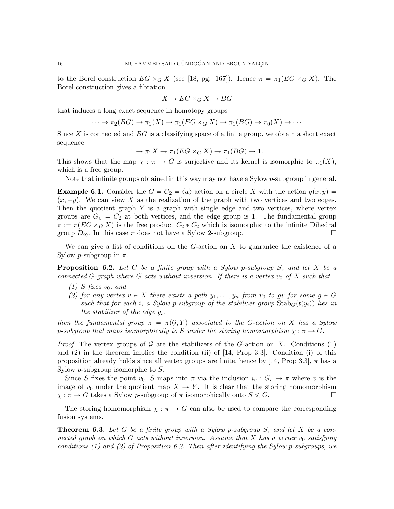to the Borel construction  $EG \times_G X$  (see [18, pg. 167]). Hence  $\pi = \pi_1(EG \times_G X)$ . The Borel construction gives a fibration

$$
X \to EG \times_G X \to BG
$$

that induces a long exact sequence in homotopy groups

$$
\cdots \to \pi_2(BG) \to \pi_1(X) \to \pi_1(EG \times_G X) \to \pi_1(BG) \to \pi_0(X) \to \cdots
$$

Since X is connected and  $BG$  is a classifying space of a finite group, we obtain a short exact sequence

$$
1 \to \pi_1 X \to \pi_1(EG \times_G X) \to \pi_1(BG) \to 1.
$$

This shows that the map  $\chi : \pi \to G$  is surjective and its kernel is isomorphic to  $\pi_1(X)$ , which is a free group.

Note that infinite groups obtained in this way may not have a Sylow  $p$ -subgroup in general.

**Example 6.1.** Consider the  $G = C_2 = \langle a \rangle$  action on a circle X with the action  $g(x, y) =$  $(x, -y)$ . We can view X as the realization of the graph with two vertices and two edges. Then the quotient graph  $Y$  is a graph with single edge and two vertices, where vertex groups are  $G_v = C_2$  at both vertices, and the edge group is 1. The fundamental group  $\pi := \pi(EG \times_G X)$  is the free product  $C_2 * C_2$  which is isomorphic to the infinite Dihedral group  $D_{\infty}$ . In this case  $\pi$  does not have a Sylow 2-subgroup.

We can give a list of conditions on the  $G$ -action on  $X$  to guarantee the existence of a Sylow *p*-subgroup in  $\pi$ .

**Proposition 6.2.** Let G be a finite group with a Sylow p-subgroup S, and let X be a connected G-graph where G acts without inversion. If there is a vertex  $v_0$  of X such that

- $(1)$  S fixes  $v_0$ , and
- (2) for any vertex  $v \in X$  there exists a path  $y_1, \ldots, y_n$  from  $v_0$  to gv for some  $g \in G$ such that for each i, a Sylow p-subgroup of the stabilizer group  $Stab_G(t(y_i))$  lies in the stabilizer of the edge  $y_i$ ,

then the fundamental group  $\pi = \pi(\mathcal{G}, Y)$  associated to the G-action on X has a Sylow p-subgroup that maps isomorphically to S under the storing homomorphism  $\chi : \pi \to G$ .

*Proof.* The vertex groups of G are the stabilizers of the G-action on X. Conditions (1) and (2) in the theorem implies the condition (ii) of [14, Prop 3.3]. Condition (i) of this proposition already holds since all vertex groups are finite, hence by [14, Prop 3.3],  $\pi$  has a Sylow  $p$ -subgroup isomorphic to  $S$ .

Since S fixes the point  $v_0$ , S maps into  $\pi$  via the inclusion  $i_v : G_v \to \pi$  where v is the image of  $v_0$  under the quotient map  $X \to Y$ . It is clear that the storing homomorphism  $\chi : \pi \to G$  takes a Sylow p-subgroup of  $\pi$  isomorphically onto  $S \leq G$ .

The storing homomorphism  $\chi : \pi \to G$  can also be used to compare the corresponding fusion systems.

**Theorem 6.3.** Let G be a finite group with a Sylow p-subgroup S, and let X be a connected graph on which G acts without inversion. Assume that X has a vertex  $v_0$  satisfying conditions (1) and (2) of Proposition 6.2. Then after identifying the Sylow p-subgroups, we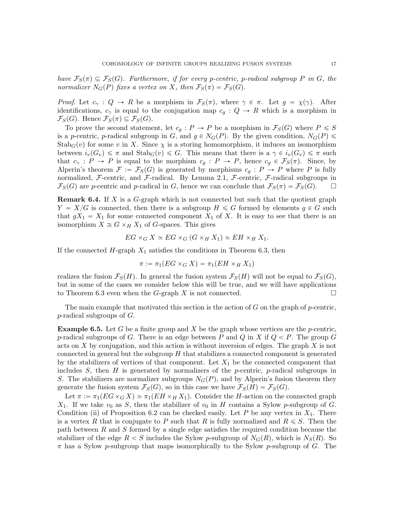have  $\mathcal{F}_S(\pi) \subseteq \mathcal{F}_S(G)$ . Furthermore, if for every p-centric, p-radical subgroup P in G, the normalizer  $N_G(P)$  fixes a vertex on X, then  $\mathcal{F}_S(\pi) = \mathcal{F}_S(G)$ .

*Proof.* Let  $c_{\gamma}: Q \to R$  be a morphism in  $\mathcal{F}_{S}(\pi)$ , where  $\gamma \in \pi$ . Let  $g = \chi(\gamma)$ . After identifications,  $c_{\gamma}$  is equal to the conjugation map  $c_g : Q \to R$  which is a morphism in  $\mathcal{F}_S(G)$ . Hence  $\mathcal{F}_S(\pi) \subseteq \mathcal{F}_S(G)$ .

To prove the second statement, let  $c_q : P \to P$  be a morphism in  $\mathcal{F}_S(G)$  where  $P \leq S$ is a p-centric, p-radical subgroup in G, and  $g \in N_G(P)$ . By the given condition,  $N_G(P) \leq$  $Stab_G(v)$  for some v in X. Since  $\chi$  is a storing homomorphism, it induces an isomorphism between  $i_v(G_v) \leq \pi$  and  $\text{Stab}_G(v) \leq G$ . This means that there is a  $\gamma \in i_v(G_v) \leq \pi$  such that  $c_{\gamma}: P \to P$  is equal to the morphism  $c_g: P \to P$ , hence  $c_g \in \mathcal{F}_S(\pi)$ . Since, by Alperin's theorem  $\mathcal{F} := \mathcal{F}_S(G)$  is generated by morphisms  $c_q : P \to P$  where P is fully normalized, F-centric, and F-radical. By Lemma 2.1, F-centric, F-radical subgroups in  $\mathcal{F}_S(G)$  are p-centric and p-radical in G, hence we can conclude that  $\mathcal{F}_S(\pi) = \mathcal{F}_S(G)$ .  $\Box$ 

Remark 6.4. If X is a G-graph which is not connected but such that the quotient graph  $Y = X/G$  is connected, then there is a subgroup  $H \le G$  formed by elements  $g \in G$  such that  $gX_1 = X_1$  for some connected component  $X_1$  of X. It is easy to see that there is an isomorphism  $X \cong G \times_H X_1$  of G-spaces. This gives

$$
EG \times_G X \simeq EG \times_G (G \times_H X_1) \simeq EH \times_H X_1.
$$

If the connected  $H$ -graph  $X_1$  satisfies the conditions in Theorem 6.3, then

$$
\pi := \pi_1(EG \times_G X) = \pi_1(EH \times_H X_1)
$$

realizes the fusion  $\mathcal{F}_S(H)$ . In general the fusion system  $\mathcal{F}_S(H)$  will not be equal to  $\mathcal{F}_S(G)$ , but in some of the cases we consider below this will be true, and we will have applications to Theorem 6.3 even when the G-graph X is not connected.  $\square$ 

The main example that motivated this section is the action of  $G$  on the graph of  $p$ -centric, p-radical subgroups of G.

**Example 6.5.** Let G be a finite group and X be the graph whose vertices are the p-centric, p-radical subgroups of G. There is an edge between P and Q in X if  $Q < P$ . The group G acts on  $X$  by conjugation, and this action is without inversion of edges. The graph  $X$  is not connected in general but the subgroup  $H$  that stabilizes a connected component is generated by the stabilizers of vertices of that component. Let  $X_1$  be the connected component that includes  $S$ , then  $H$  is generated by normalizers of the p-centric, p-radical subgroups in S. The stabilizers are normalizer subgroups  $N<sub>G</sub>(P)$ , and by Alperin's fusion theorem they generate the fusion system  $\mathcal{F}_S(G)$ , so in this case we have  $\mathcal{F}_S(H) = \mathcal{F}_S(G)$ .

Let  $\pi := \pi_1(EG \times_G X) \simeq \pi_1(EH \times_H X_1)$ . Consider the H-action on the connected graph  $X_1$ . If we take  $v_0$  as S, then the stabilizer of  $v_0$  in H contains a Sylow p-subgroup of G. Condition (ii) of Proposition 6.2 can be checked easily. Let  $P$  be any vertex in  $X_1$ . There is a vertex R that is conjugate to P such that R is fully normalized and  $R \leq S$ . Then the path between R and S formed by a single edge satisfies the required condition because the stabilizer of the edge  $R < S$  includes the Sylow p-subgroup of  $N_G(R)$ , which is  $N_S(R)$ . So  $\pi$  has a Sylow p-subgroup that maps isomorphically to the Sylow p-subgroup of G. The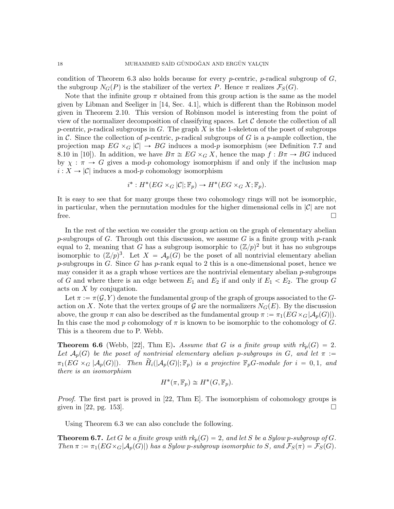condition of Theorem 6.3 also holds because for every *p*-centric, *p*-radical subgroup of  $G$ , the subgroup  $N_G(P)$  is the stabilizer of the vertex P. Hence  $\pi$  realizes  $\mathcal{F}_S(G)$ .

Note that the infinite group  $\pi$  obtained from this group action is the same as the model given by Libman and Seeliger in [14, Sec. 4.1], which is different than the Robinson model given in Theorem 2.10. This version of Robinson model is interesting from the point of view of the normalizer decomposition of classifying spaces. Let  $\mathcal C$  denote the collection of all p-centric, p-radical subgroups in G. The graph X is the 1-skeleton of the poset of subgroups in C. Since the collection of p-centric, p-radical subgroups of G is a p-ample collection, the projection map  $EG \times_G |C| \to BG$  induces a mod-p isomorphism (see Definition 7.7 and 8.10 in [10]). In addition, we have  $B\pi \cong EG \times_G X$ , hence the map  $f : B\pi \to BG$  induced by  $\chi : \pi \to G$  gives a mod-p cohomology isomorphism if and only if the inclusion map  $i: X \to |\mathcal{C}|$  induces a mod-p cohomology isomorphism

$$
i^*: H^*(EG \times_G |\mathcal{C}|; \mathbb{F}_p) \to H^*(EG \times_G X; \mathbb{F}_p).
$$

It is easy to see that for many groups these two cohomology rings will not be isomorphic, in particular, when the permutation modules for the higher dimensional cells in  $|\mathcal{C}|$  are not free.  $\Box$ 

In the rest of the section we consider the group action on the graph of elementary abelian p-subgroups of G. Through out this discussion, we assume G is a finite group with p-rank equal to 2, meaning that G has a subgroup isomorphic to  $(\mathbb{Z}/p)^2$  but it has no subgroups isomorphic to  $(\mathbb{Z}/p)^3$ . Let  $X = A_p(G)$  be the poset of all nontrivial elementary abelian  $p$ -subgroups in G. Since G has  $p$ -rank equal to 2 this is a one-dimensional poset, hence we may consider it as a graph whose vertices are the nontrivial elementary abelian  $p$ -subgroups of G and where there is an edge between  $E_1$  and  $E_2$  if and only if  $E_1 < E_2$ . The group G acts on X by conjugation.

Let  $\pi := \pi(\mathcal{G}, Y)$  denote the fundamental group of the graph of groups associated to the Gaction on X. Note that the vertex groups of G are the normalizers  $N_G(E)$ . By the discussion above, the group  $\pi$  can also be described as the fundamental group  $\pi := \pi_1(EG \times_G |\mathcal{A}_p(G)|)$ . In this case the mod p cohomology of  $\pi$  is known to be isomorphic to the cohomology of G. This is a theorem due to P. Webb.

**Theorem 6.6** (Webb, [22], Thm E). Assume that G is a finite group with  $rk_p(G) = 2$ . Let  $\mathcal{A}_p(G)$  be the poset of nontrivial elementary abelian p-subgroups in G, and let  $\pi$  :=  $\pi_1(EG \times_G |\mathcal{A}_p(G)|)$ . Then  $H_i(|\mathcal{A}_p(G)|; \mathbb{F}_p)$  is a projective  $\mathbb{F}_pG$ -module for  $i = 0, 1$ , and there is an isomorphism

$$
H^*(\pi, \mathbb{F}_p) \cong H^*(G, \mathbb{F}_p).
$$

*Proof.* The first part is proved in  $[22, Thm]$ . The isomorphism of cohomology groups is given in [22, pg. 153].

Using Theorem 6.3 we can also conclude the following.

**Theorem 6.7.** Let G be a finite group with  $rk_p(G) = 2$ , and let S be a Sylow p-subgroup of G. Then  $\pi := \pi_1(EG \times_G |\mathcal{A}_p(G)|)$  has a Sylow p-subgroup isomorphic to S, and  $\mathcal{F}_S(\pi) = \mathcal{F}_S(G)$ .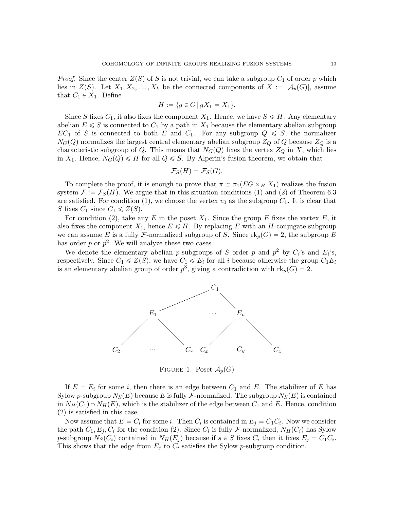*Proof.* Since the center  $Z(S)$  of S is not trivial, we can take a subgroup  $C_1$  of order p which lies in  $Z(S)$ . Let  $X_1, X_2, \ldots, X_k$  be the connected components of  $X := |\mathcal{A}_p(G)|$ , assume that  $C_1 \in X_1$ . Define

$$
H := \{ g \in G \, | \, gX_1 = X_1 \}.
$$

Since S fixes  $C_1$ , it also fixes the component  $X_1$ . Hence, we have  $S \le H$ . Any elementary abelian  $E \leq S$  is connected to  $C_1$  by a path in  $X_1$  because the elementary abelian subgroup  $EC_1$  of S is connected to both E and  $C_1$ . For any subgroup  $Q \leq S$ , the normalizer  $N_G(Q)$  normalizes the largest central elementary abelian subgroup  $Z_Q$  of Q because  $Z_Q$  is a characteristic subgroup of Q. This means that  $N_G(Q)$  fixes the vertex  $Z_Q$  in X, which lies in  $X_1$ . Hence,  $N_G(Q) \le H$  for all  $Q \le S$ . By Alperin's fusion theorem, we obtain that

$$
\mathcal{F}_S(H)=\mathcal{F}_S(G).
$$

To complete the proof, it is enough to prove that  $\pi \cong \pi_1(EG \times_H X_1)$  realizes the fusion system  $\mathcal{F} := \mathcal{F}_S(H)$ . We argue that in this situation conditions (1) and (2) of Theorem 6.3 are satisfied. For condition (1), we choose the vertex  $v_0$  as the subgroup  $C_1$ . It is clear that S fixes  $C_1$  since  $C_1 \leqslant Z(S)$ .

For condition (2), take any E in the poset  $X_1$ . Since the group E fixes the vertex E, it also fixes the component  $X_1$ , hence  $E \leq H$ . By replacing E with an H-conjugate subgroup we can assume E is a fully F-normalized subgroup of S. Since  $\text{rk}_p(G) = 2$ , the subgroup E has order  $p$  or  $p^2$ . We will analyze these two cases.

We denote the elementary abelian p-subgroups of S order p and  $p^2$  by  $C_i$ 's and  $E_i$ 's, respectively. Since  $C_1 \leq Z(S)$ , we have  $C_1 \leq E_i$  for all i because otherwise the group  $C_1E_i$ is an elementary abelian group of order  $p^3$ , giving a contradiction with  $\text{rk}_p(G) = 2$ .



FIGURE 1. Poset  $\mathcal{A}_p(G)$ 

If  $E = E_i$  for some i, then there is an edge between  $C_1$  and E. The stabilizer of E has Sylow p-subgroup  $N_S(E)$  because E is fully F-normalized. The subgroup  $N_S(E)$  is contained in  $N_H(C_1) \cap N_H(E)$ , which is the stabilizer of the edge between  $C_1$  and E. Hence, condition (2) is satisfied in this case.

Now assume that  $E = C_i$  for some i. Then  $C_i$  is contained in  $E_j = C_1 C_i$ . Now we consider the path  $C_1, E_j, C_i$  for the condition (2). Since  $C_i$  is fully *F*-normalized,  $N_H(C_i)$  has Sylow p-subgroup  $N_S(C_i)$  contained in  $N_H(E_j)$  because if  $s \in S$  fixes  $C_i$  then it fixes  $E_j = C_1 C_i$ . This shows that the edge from  $E_j$  to  $C_i$  satisfies the Sylow p-subgroup condition.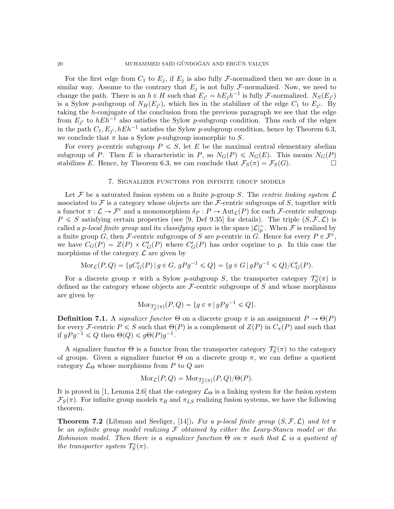For the first edge from  $C_1$  to  $E_j$ , if  $E_j$  is also fully *F*-normalized then we are done in a similar way. Assume to the contrary that  $E_j$  is not fully F-normalized. Now, we need to change the path. There is an  $h \in H$  such that  $E_{j'} = hE_j h^{-1}$  is fully *F*-normalized.  $N_S(E_{j'})$ is a Sylow p-subgroup of  $N_H(E_{j'})$ , which lies in the stabilizer of the edge  $C_1$  to  $E_{j'}$ . By taking the h-conjugate of the conclusion from the previous paragraph we see that the edge from  $E_{j'}$  to  $hEh^{-1}$  also satisfies the Sylow p-subgroup condition. Thus each of the edges in the path  $C_1, E_{j'}, hEh^{-1}$  satisfies the Sylow p-subgroup condition, hence by Theorem 6.3, we conclude that  $\pi$  has a Sylow *p*-subgroup isomorphic to S.

For every p-centric subgroup  $P \leq S$ , let E be the maximal central elementary abelian subgroup of P. Then E is characteristic in P, so  $N_G(P) \leq N_G(E)$ . This means  $N_G(P)$ stabilizes E. Hence, by Theorem 6.3, we can conclude that  $\mathcal{F}_S(\pi) = \mathcal{F}_S(G)$ .

#### 7. Signalizer functors for infinite group models

Let F be a saturated fusion system on a finite p-group S. The centric linking system  $\mathcal L$ associated to F is a category whose objects are the F-centric subgroups of S, together with a functor  $\pi: \mathcal{L} \to \mathcal{F}^c$  and a monomorphism  $\delta_P: P \to \text{Aut}_{\mathcal{L}}(P)$  for each  $\mathcal{F}$ -centric subgroup  $P \leq S$  satisfying certain properties (see [9, Def 9.35] for details). The triple  $(S, \mathcal{F}, \mathcal{L})$  is called a *p*-local finite group and its classifying space is the space  $|\mathcal{L}|_p^{\wedge}$ . When F is realized by a finite group G, then F-centric subgroups of S are p-centric in G. Hence for every  $P \in \mathcal{F}^c$ , we have  $C_G(P) = Z(P) \times C'_G(P)$  where  $C'_G(P)$  has order coprime to p. In this case the morphisms of the category  $\mathcal L$  are given by

$$
Mor_{\mathcal{L}}(P,Q) = \{ gC'_G(P) \mid g \in G, gPg^{-1} \leq Q \} = \{ g \in G \mid gPg^{-1} \leq Q \} / C'_G(P).
$$

For a discrete group  $\pi$  with a Sylow p-subgroup S, the transporter category  $\mathcal{T}_{S}^{c}(\pi)$  is defined as the category whose objects are  $\mathcal{F}\text{-centric subgroups of }S$  and whose morphisms are given by

$$
\text{Mor}_{\mathcal{T}_S^c(\pi)}(P,Q) = \{ g \in \pi \mid gPg^{-1} \leq Q \}.
$$

**Definition 7.1.** A *signalizer functor*  $\Theta$  on a discrete group  $\pi$  is an assignment  $P \to \Theta(P)$ for every F-centric  $P \leq S$  such that  $\Theta(P)$  is a complement of  $Z(P)$  in  $C_{\pi}(P)$  and such that if  $gPg^{-1} \leq Q$  then  $\Theta(Q) \leq g\Theta(P)g^{-1}$ .

A signalizer functor  $\Theta$  is a functor from the transporter category  $\mathcal{T}_{S}^{c}(\pi)$  to the category of groups. Given a signalizer functor  $\Theta$  on a discrete group  $\pi$ , we can define a quotient category  $\mathcal{L}_{\Theta}$  whose morphisms from P to Q are

$$
Mor_{\mathcal{L}}(P,Q) = Mor_{\mathcal{T}_S^c(\pi)}(P,Q)/\Theta(P).
$$

It is proved in [1, Lemma 2.6] that the category  $\mathcal{L}_{\Theta}$  is a linking system for the fusion system  $\mathcal{F}_S(\pi)$ . For infinite group models  $\pi_R$  and  $\pi_{LS}$  realizing fusion systems, we have the following theorem.

**Theorem 7.2** (Libman and Seeliger, [14]). Fix a p-local finite group  $(S, \mathcal{F}, \mathcal{L})$  and let  $\pi$ be an infinite group model realizing  $\mathcal F$  obtained by either the Leary-Stancu model or the Robinsion model. Then there is a signalizer function  $\Theta$  on  $\pi$  such that  $\mathcal L$  is a quotient of the transporter system  $\mathcal{T}_S^c(\pi)$ .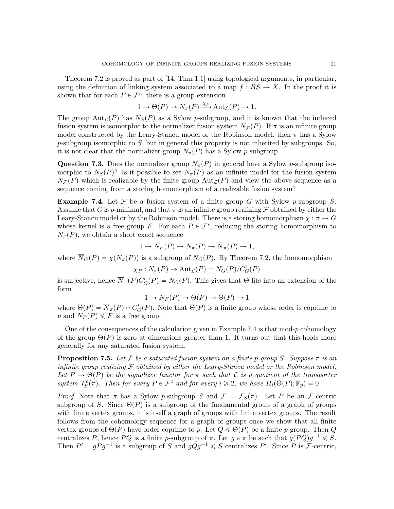Theorem 7.2 is proved as part of [14, Thm 1.1] using topological arguments, in particular, using the definition of linking system associated to a map  $f : BS \to X$ . In the proof it is shown that for each  $P \in \mathcal{F}^c$ , there is a group extension

$$
1 \to \Theta(P) \to N_{\pi}(P) \xrightarrow{\chi_P} \text{Aut}_{\mathcal{L}}(P) \to 1.
$$

The group Aut<sub>C</sub>(P) has  $N<sub>S</sub>(P)$  as a Sylow p-subgroup, and it is known that the induced fusion system is isomorphic to the normalizer fusion system  $N_{\mathcal{F}}(P)$ . If  $\pi$  is an infinite group model constructed by the Leary-Stancu model or the Robinson model, then  $\pi$  has a Sylow  $p$ -subgroup isomorphic to S, but in general this property is not inherited by subgroups. So, it is not clear that the normalizer group  $N_{\pi}(P)$  has a Sylow p-subgroup.

**Question 7.3.** Does the normalizer group  $N_{\pi}(P)$  in general have a Sylow p-subgroup isomorphic to  $N_S(P)$ ? Is it possible to see  $N_\pi(P)$  as an infinite model for the fusion system  $N_{\mathcal{F}}(P)$  which is realizable by the finite group  $\text{Aut}_{\mathcal{L}}(P)$  and view the above sequence as a sequence coming from a storing homomorphism of a realizable fusion system?

**Example 7.4.** Let  $\mathcal F$  be a fusion system of a finite group G with Sylow p-subgroup S. Assume that G is p-minimal, and that  $\pi$  is an infinite group realizing F obtained by either the Leary-Stancu model or by the Robinson model. There is a storing homomorphism  $\chi : \pi \to G$ whose kernel is a free group F. For each  $P \in \mathcal{F}^c$ , reducing the storing homomorphism to  $N_{\pi}(P)$ , we obtain a short exact sequence

$$
1 \to N_F(P) \to N_\pi(P) \to \overline{N}_\pi(P) \to 1,
$$

where  $\overline{N}_G(P) = \chi(N_\pi(P))$  is a subgroup of  $N_G(P)$ . By Theorem 7.2, the homomorphism

$$
\chi_P: N_\pi(P) \to \mathrm{Aut}_{\mathcal{L}}(P) = N_G(P)/C_G'(P)
$$

is surjective, hence  $\overline{N}_{\pi}(P)C'_{G}(P) = N_{G}(P)$ . This gives that  $\Theta$  fits into an extension of the form

$$
1 \to N_F(P) \to \Theta(P) \to \overline{\Theta}(P) \to 1
$$

where  $\overline{\Theta}(P) = \overline{N}_{\pi}(P) \cap C'_G(P)$ . Note that  $\overline{\Theta}(P)$  is a finite group whose order is coprime to p and  $N_F(P) \leq F$  is a free group.

One of the consequences of the calculation given in Example 7.4 is that mod- $p$  cohomology of the group  $\Theta(P)$  is zero at dimensions greater than 1. It turns out that this holds more generally for any saturated fusion system.

**Proposition 7.5.** Let F be a saturated fusion system on a finite p-group S. Suppose  $\pi$  is an infinite group realizing  $\mathcal F$  obtained by either the Leary-Stancu model or the Robinson model. Let  $P \to \Theta(P)$  be the signalizer functor for  $\pi$  such that L is a quotient of the transporter system  $\mathcal{T}_{S}^{c}(\pi)$ . Then for every  $P \in \mathcal{F}^{c}$  and for every  $i \geqslant 2$ , we have  $H_{i}(\Theta(P); \mathbb{F}_{p}) = 0$ .

*Proof.* Note that  $\pi$  has a Sylow p-subgroup S and  $\mathcal{F} = \mathcal{F}_S(\pi)$ . Let P be an F-centric subgroup of S. Since  $\Theta(P)$  is a subgroup of the fundamental group of a graph of groups with finite vertex groups, it is itself a graph of groups with finite vertex groups. The result follows from the cohomology sequence for a graph of groups once we show that all finite vertex groups of  $\Theta(P)$  have order coprime to p. Let  $Q \leq \Theta(P)$  be a finite p-group. Then Q centralizes P, hence PQ is a finite p-subgroup of  $\pi$ . Let  $g \in \pi$  be such that  $g(PQ)g^{-1} \leq S$ . Then  $P' = gPg^{-1}$  is a subgroup of S and  $gQg^{-1} \leq S$  centralizes P'. Since P is F-centric,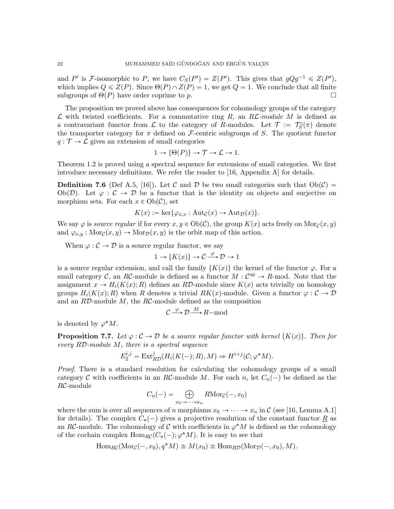and P' is F-isomorphic to P, we have  $C_S(P') = Z(P')$ . This gives that  $gQg^{-1} \leq Z(P')$ , which implies  $Q \leqslant Z(P)$ . Since  $\Theta(P) \cap Z(P) = 1$ , we get  $Q = 1$ . We conclude that all finite subgroups of  $\Theta(P)$  have order coprime to p.

The proposition we proved above has consequences for cohomology groups of the category  $\mathcal L$  with twisted coefficients. For a commutative ring R, an RL-module M is defined as a contravariant functor from  $\mathcal L$  to the category of R-modules. Let  $\mathcal T := \mathcal T_S^c(\pi)$  denote the transporter category for  $\pi$  defined on F-centric subgroups of S. The quotient functor  $q: \mathcal{T} \to \mathcal{L}$  gives an extension of small categories

$$
1 \to \{\Theta(P)\} \to \mathcal{T} \to \mathcal{L} \to 1.
$$

Theorem 1.2 is proved using a spectral sequence for extensions of small categories. We first introduce necessary definitions. We refer the reader to [16, Appendix A] for details.

**Definition 7.6** (Def A.5, [16]). Let C and D be two small categories such that  $Ob(\mathcal{C})$  = Ob $(\mathcal{D})$ . Let  $\varphi : \mathcal{C} \to \mathcal{D}$  be a functor that is the identity on objects and surjective on morphism sets. For each  $x \in Ob(\mathcal{C})$ , set

$$
K(x) := \ker{\varphi_{x,x} : \mathrm{Aut}_{\mathcal{C}}(x) \to \mathrm{Aut}_{\mathcal{D}}(x)}.
$$

We say  $\varphi$  is source regular if for every  $x, y \in Ob(\mathcal{C})$ , the group  $K(x)$  acts freely on Mor $c(x, y)$ and  $\varphi_{x,y} : \text{Mor}_{\mathcal{C}}(x, y) \to \text{Mor}_{\mathcal{D}}(x, y)$  is the orbit map of this action.

When  $\varphi : \mathcal{C} \to \mathcal{D}$  is a source regular functor, we say

$$
1 \to \{K(x)\} \to \mathcal{C} \xrightarrow{\varphi} \mathcal{D} \to 1
$$

is a source regular extension, and call the family  $\{K(x)\}\$ the kernel of the functor  $\varphi$ . For a small category C, an RC-module is defined as a functor  $M: \mathcal{C}^{op} \to R$ -mod. Note that the assignment  $x \to H_i(K(x); R)$  defines an RD-module since  $K(x)$  acts trivially on homology groups  $H_i(K(x); R)$  when R denotes a trivial  $RK(x)$ -module. Given a functor  $\varphi : C \to \mathcal{D}$ and an  $R\mathcal{D}\text{-module }M$ , the  $R\mathcal{C}\text{-module defined as the composition}$ 

$$
C \xrightarrow{\varphi} \mathcal{D} \xrightarrow{M} R-\text{mod}
$$

is denoted by  $\varphi^* M$ .

**Proposition 7.7.** Let  $\varphi : \mathcal{C} \to \mathcal{D}$  be a source regular functor with kernel  $\{K(x)\}\$ . Then for every RD-module M, there is a spectral sequence

$$
E_2^{i,j} = \text{Ext}_{RD}^j(H_i(K(-); R), M) \Rightarrow H^{i+j}(\mathcal{C}; \varphi^*M).
$$

Proof. There is a standard resolution for calculating the cohomology groups of a small category C with coefficients in an RC-module M. For each n, let  $C_n(-)$  be defined as the RC-module

$$
C_n(-) = \bigoplus_{x_0 \to \cdots \to x_n} R\mathrm{Mor}_{\mathcal{C}}(-, x_0)
$$

where the sum is over all sequences of n morphisms  $x_0 \to \cdots \to x_n$  in C (see [16, Lemma A.1] for details). The complex  $C_*(-)$  gives a projective resolution of the constant functor  $\underline{R}$  as an RC-module. The cohomology of C with coefficients in  $\varphi^*M$  is defined as the cohomology of the cochain complex  $\text{Hom}_{RC}(C_*(-); \varphi^*M)$ . It is easy to see that

$$
\operatorname{Hom}_{RC}(\operatorname{Mor}_{\mathcal{C}}(-,x_0), q^*M) \cong M(x_0) \cong \operatorname{Hom}_{RD}(\operatorname{Mor}_{\mathcal{D}}(-,x_0), M).
$$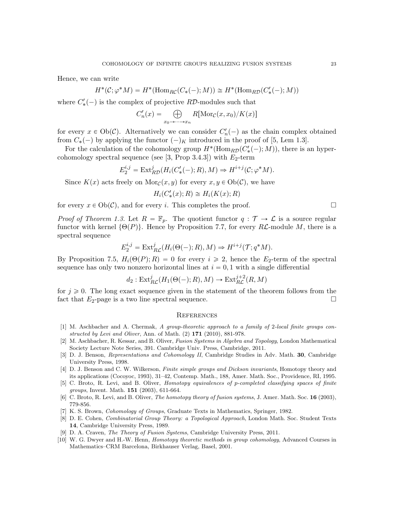Hence, we can write

$$
H^*(\mathcal{C};\varphi^*M) = H^*(\mathrm{Hom}_{R\mathcal{C}}(C_*(-);M)) \cong H^*(\mathrm{Hom}_{R\mathcal{D}}(C'_*(-);M))
$$

where  $C'_{*}(-)$  is the complex of projective  $R\mathcal{D}$ -modules such that<br> $C'_{n}(x) = \bigoplus R[\text{Mor}_{\mathcal{C}}(x, x_{0})/K(x)]$ 

$$
C'_n(x) = \bigoplus_{x_0 \to \cdots \to x_n} R[\text{Mor}_{\mathcal{C}}(x, x_0) / K(x)]
$$

for every  $x \in Ob(\mathcal{C})$ . Alternatively we can consider  $C'_n(-)$  as the chain complex obtained from  $C_*(-)$  by applying the functor  $(-)_K$  introduced in the proof of [5, Lem 1.3].

For the calculation of the cohomology group  $H^*(\text{Hom}_{R\mathcal{D}}(C'_{*}(-); M))$ , there is an hypercohomology spectral sequence (see [3, Prop 3.4.3]) with  $E_2$ -term

$$
E_2^{i,j} = \text{Ext}_{RD}^j(H_i(C'_*(-); R), M) \Rightarrow H^{i+j}(\mathcal{C}; \varphi^*M).
$$

Since  $K(x)$  acts freely on  $\text{Mor}_{\mathcal{C}}(x, y)$  for every  $x, y \in \text{Ob}(\mathcal{C})$ , we have

$$
H_i(C'_*(x);R) \cong H_i(K(x);R)
$$

for every  $x \in Ob(\mathcal{C})$ , and for every i. This completes the proof.

*Proof of Theorem 1.3.* Let  $R = \mathbb{F}_p$ . The quotient functor  $q : \mathcal{T} \to \mathcal{L}$  is a source regular functor with kernel  $\{\Theta(P)\}\$ . Hence by Proposition 7.7, for every RL-module M, there is a spectral sequence

$$
E_2^{i,j} = \text{Ext}^j_{RC}(H_i(\Theta(-); R), M) \Rightarrow H^{i+j}(\mathcal{T}; q^*M).
$$

By Proposition 7.5,  $H_i(\Theta(P); R) = 0$  for every  $i \geq 2$ , hence the E<sub>2</sub>-term of the spectral sequence has only two nonzero horizontal lines at  $i = 0, 1$  with a single differential

$$
d_2: \text{Ext}^j_{RC}(H_1(\Theta(-); R), M) \to \text{Ext}^{j+2}_{RC}(R, M)
$$

for  $j \geq 0$ . The long exact sequence given in the statement of the theorem follows from the fact that  $E_2$ -page is a two line spectral sequence.  $\Box$ 

#### **REFERENCES**

- [1] M. Aschbacher and A. Chermak, A group-theoretic approach to a family of 2-local finite groups constructed by Levi and Oliver, Ann. of Math.  $(2)$  171  $(2010)$ , 881-978.
- [2] M. Aschbacher, R. Kessar, and B. Oliver, Fusion Systems in Algebra and Topology, London Mathematical Society Lecture Note Series, 391. Cambridge Univ. Press, Cambridge, 2011.
- [3] D. J. Benson, Representations and Cohomology II, Cambridge Studies in Adv. Math. 30, Cambridge University Press, 1998.
- [4] D. J. Benson and C. W. Wilkerson, Finite simple groups and Dickson invariants, Homotopy theory and its applications (Cocoyoc, 1993), 31–42, Contemp. Math., 188, Amer. Math. Soc., Providence, RI, 1995.
- [5] C. Broto, R. Levi, and B. Oliver, Homotopy equivalences of p-completed classifying spaces of finite groups, Invent. Math. 151 (2003), 611-664.
- [6] C. Broto, R. Levi, and B. Oliver, *The homotopy theory of fusion systems*, J. Amer. Math. Soc. **16** (2003), 779-856.
- [7] K. S. Brown, Cohomology of Groups, Graduate Texts in Mathematics, Springer, 1982.
- [8] D. E. Cohen, Combinatorial Group Theory: a Topological Approach, London Math. Soc. Student Texts 14, Cambridge University Press, 1989.
- [9] D. A. Craven, The Theory of Fusion Systems, Cambridge University Press, 2011.
- [10] W. G. Dwyer and H.-W. Henn, Homotopy theoretic methods in group cohomology, Advanced Courses in Mathematics–CRM Barcelona, Birkhauser Verlag, Basel, 2001.